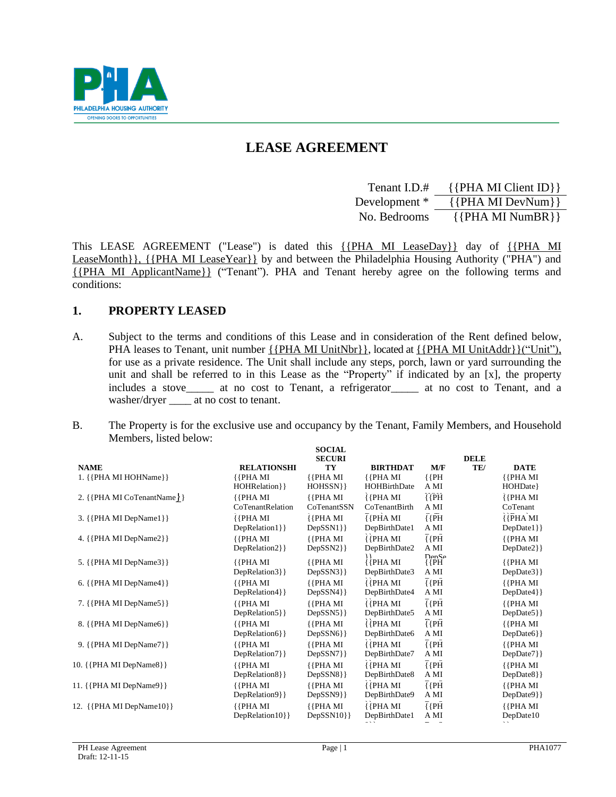

# **LEASE AGREEMENT**

| Tenant I.D.#  | $\{$ [PHA MI Client ID] $\}$ |
|---------------|------------------------------|
| Development * | $\{$ [PHA MI DevNum}}        |
| No. Bedrooms  | $\{ \{ PHA MI NumBR \} \}$   |

This LEASE AGREEMENT ("Lease") is dated this {{PHA MI LeaseDay}} day of {{PHA MI LeaseMonth}}, {{PHA MI LeaseYear}} by and between the Philadelphia Housing Authority ("PHA") and {{PHA MI ApplicantName}} ("Tenant"). PHA and Tenant hereby agree on the following terms and conditions:

# **1. PROPERTY LEASED**

- A. Subject to the terms and conditions of this Lease and in consideration of the Rent defined below, PHA leases to Tenant, unit number  $\{$  {PHA MI UnitNbr}}, located at  $\{$  {PHA MI UnitAddr}}("Unit"), for use as a private residence. The Unit shall include any steps, porch, lawn or yard surrounding the unit and shall be referred to in this Lease as the "Property" if indicated by an [x], the property includes a stove\_\_\_\_\_ at no cost to Tenant, a refrigerator\_\_\_\_\_ at no cost to Tenant, and a washer/dryer at no cost to tenant.
- B. The Property is for the exclusive use and occupancy by the Tenant, Family Members, and Household Members, listed below:  $S$  $S$  $S$  $T$  $T$

|                            |                                 | SUCIAL<br><b>SECURI</b>          |                                  |                              | <b>DELE</b> |                           |
|----------------------------|---------------------------------|----------------------------------|----------------------------------|------------------------------|-------------|---------------------------|
| <b>NAME</b>                | <b>RELATIONSHI</b>              | TY                               | <b>BIRTHDAT</b>                  | M/F                          | TE/         | <b>DATE</b>               |
| 1. {{PHA MI HOHName}}      | ${PHAMI}$<br>HOHRelation } }    | ${PHAMI}$<br>$HOHSSN$ }          | ${PHAMI}$<br>HOHBirthDate        | ${PH}$<br>A MI               |             | ${PHAMI}$<br>HOHDate}     |
| 2. {{PHA MI CoTenantName}} | ${PHAMI}$<br>CoTenantRelation   | ${PHAMI}$<br>CoTenantSSN         | ${PHAMI}$<br>CoTenantBirth       | ${PH}$<br>A MI               |             | ${PHAMI}$<br>CoTenant     |
| 3. {{PHA MI DepName1}}     | ${PHAMI}$<br>DepRelation1}}     | $\{$ { $PHA$ MI}<br>$DepSSN1$ }  | ${PHAMI}$<br>DepBirthDate1       | ${PH}$<br>A MI               |             | ${PHAMI}$<br>$DepDate1$ } |
| 4. {{PHA MI DepName2}}     | ${PHAMI}$<br>DepRelation2}}     | ${PHAMI}$<br>$DepSSN2$ }         | ${[PHAMI]}$<br>DepBirthDate2     | ${PH}$<br>A MI               |             | ${PHAMI}$<br>DepDate2}}   |
| 5. {{PHA MI DepName3}}     | ${PHAMI}$<br>DepRelation3}}     | ${PHAMI}$<br>$DepSSN3$ }         | ìι<br>${PHAMI}$<br>DepBirthDate3 | $Dan$ $Ca$<br>${PH}$<br>A MI |             | ${PHAMI}$<br>DepDate3}}   |
| 6. {{PHA MI DepName4}}     | ${PHAMI}$<br>DepRelation4}}     | ${PHAMI}$<br>$DepSSN4$ }         | ${PHAMI}$<br>DepBirthDate4       | ${PH}$<br>A MI               |             | ${PHAMI}$<br>DepDate4}}   |
| 7. {{PHA MI DepName5}}     | ${[PHAMI]}$<br>DepRelation5 } } | ${[PHAMI]}$<br>$DepSSN5\}$       | ${PHAMI}$<br>DepBirthDate5       | ${PH}$<br>A MI               |             | ${PHAMI}$<br>DepDate5}}   |
| 8. {{PHA MI DepName6}}     | ${[PHAMI]}$<br>DepRelation6}}   | ${[PHAMI]}$<br>$DepSSN6\}$       | ${PHAMI}$<br>DepBirthDate6       | ${PH}$<br>A MI               |             | ${PHAMI}$<br>DepDate6}}   |
| 9. {{PHA MI DepName7}}     | ${PHAMI}$<br>DepRelation7}}     | ${PHAMI}$<br>$DepSSN7$ } }       | ${PHAMI}$<br>DepBirthDate7       | ${PH}$<br>A MI               |             | ${PHAMI}$<br>$DepDate7\}$ |
| 10. {{PHA MI DepName8}}    | ${PHAMI}$<br>DepRelation8}}     | ${PHAMI}$<br>$DepSSN8$ }         | ${PHAMI}$<br>DepBirthDate8       | $\overline{\{P\}$<br>A MI    |             | ${PHAMI}$<br>$DepDate8$ } |
| 11. { {PHA MI DepName9}}   | ${PHAMI}$<br>DepRelation9}}     | ${PHAMI}$<br>DepSSN9}}           | ${PHAMI}$<br>DepBirthDate9       | ${PH}$<br>A MI               |             | ${PHAMI}$<br>DepDate9}}   |
| 12. {{PHA MI DepName10}}   | ${PHAMI}$<br>DepRelation10}}    | $\{$ { $PHA$ MI}<br>$DepSSN10\}$ | ${PHAMI}$<br>DepBirthDate1       | ${PH}$<br>A MI               |             | ${PHAMI}$<br>DepDate10    |
|                            |                                 |                                  |                                  |                              |             |                           |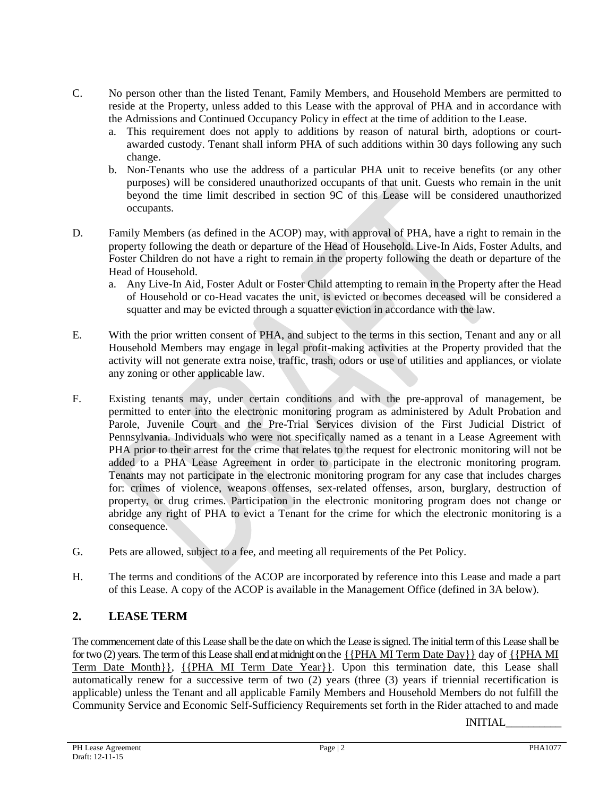- C. No person other than the listed Tenant, Family Members, and Household Members are permitted to reside at the Property, unless added to this Lease with the approval of PHA and in accordance with the Admissions and Continued Occupancy Policy in effect at the time of addition to the Lease.
	- a. This requirement does not apply to additions by reason of natural birth, adoptions or courtawarded custody. Tenant shall inform PHA of such additions within 30 days following any such change.
	- b. Non-Tenants who use the address of a particular PHA unit to receive benefits (or any other purposes) will be considered unauthorized occupants of that unit. Guests who remain in the unit beyond the time limit described in section 9C of this Lease will be considered unauthorized occupants.
- D. Family Members (as defined in the ACOP) may, with approval of PHA, have a right to remain in the property following the death or departure of the Head of Household. Live-In Aids, Foster Adults, and Foster Children do not have a right to remain in the property following the death or departure of the Head of Household.
	- a. Any Live-In Aid, Foster Adult or Foster Child attempting to remain in the Property after the Head of Household or co-Head vacates the unit, is evicted or becomes deceased will be considered a squatter and may be evicted through a squatter eviction in accordance with the law.
- E. With the prior written consent of PHA, and subject to the terms in this section, Tenant and any or all Household Members may engage in legal profit-making activities at the Property provided that the activity will not generate extra noise, traffic, trash, odors or use of utilities and appliances, or violate any zoning or other applicable law.
- F. Existing tenants may, under certain conditions and with the pre-approval of management, be permitted to enter into the electronic monitoring program as administered by Adult Probation and Parole, Juvenile Court and the Pre-Trial Services division of the First Judicial District of Pennsylvania. Individuals who were not specifically named as a tenant in a Lease Agreement with PHA prior to their arrest for the crime that relates to the request for electronic monitoring will not be added to a PHA Lease Agreement in order to participate in the electronic monitoring program. Tenants may not participate in the electronic monitoring program for any case that includes charges for: crimes of violence, weapons offenses, sex-related offenses, arson, burglary, destruction of property, or drug crimes. Participation in the electronic monitoring program does not change or abridge any right of PHA to evict a Tenant for the crime for which the electronic monitoring is a consequence.
- G. Pets are allowed, subject to a fee, and meeting all requirements of the Pet Policy.
- H. The terms and conditions of the ACOP are incorporated by reference into this Lease and made a part of this Lease. A copy of the ACOP is available in the Management Office (defined in 3A below).

# **2. LEASE TERM**

The commencement date of this Lease shall be the date on which the Lease is signed. The initial term of this Lease shall be for two (2) years. The term of this Lease shall end at midnight on the  $\{$  [PHA MI Term Date Day}} day of  $\{$  [PHA MI] Term Date Month}}, {{PHA MI Term Date Year}}. Upon this termination date, this Lease shall automatically renew for a successive term of two (2) years (three (3) years if triennial recertification is applicable) unless the Tenant and all applicable Family Members and Household Members do not fulfill the Community Service and Economic Self-Sufficiency Requirements set forth in the Rider attached to and made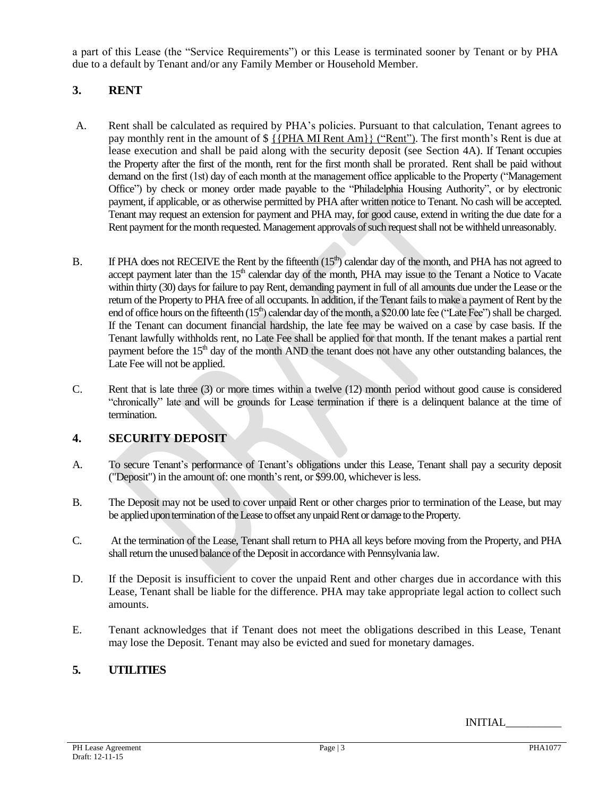a part of this Lease (the "Service Requirements") or this Lease is terminated sooner by Tenant or by PHA due to a default by Tenant and/or any Family Member or Household Member.

# **3. RENT**

- A. Rent shall be calculated as required by PHA's policies. Pursuant to that calculation, Tenant agrees to pay monthly rent in the amount of  $\frac{1}{2}$  { $\frac{PHA}{H}$  Rent Am}} ("Rent"). The first month's Rent is due at lease execution and shall be paid along with the security deposit (see Section 4A). If Tenant occupies the Property after the first of the month, rent for the first month shall be prorated. Rent shall be paid without demand on the first (1st) day of each month at the management office applicable to the Property ("Management Office") by check or money order made payable to the "Philadelphia Housing Authority", or by electronic payment, if applicable, or as otherwise permitted by PHA after written notice to Tenant. No cash will be accepted. Tenant may request an extension for payment and PHA may, for good cause, extend in writing the due date for a Rent payment for the month requested. Management approvals of such request shall not be withheld unreasonably.
- B. If PHA does not RECEIVE the Rent by the fifteenth  $(15<sup>th</sup>)$  calendar day of the month, and PHA has not agreed to accept payment later than the  $15<sup>th</sup>$  calendar day of the month, PHA may issue to the Tenant a Notice to Vacate within thirty (30) days for failure to pay Rent, demanding payment in full of all amounts due under the Lease or the return of the Property to PHA free of all occupants. In addition, if the Tenant fails to make a payment of Rent by the end of office hours on the fifteenth  $(15<sup>th</sup>)$  calendar day of the month, a \$20.00 late fee ("Late Fee") shall be charged. If the Tenant can document financial hardship, the late fee may be waived on a case by case basis. If the Tenant lawfully withholds rent, no Late Fee shall be applied for that month. If the tenant makes a partial rent payment before the  $15<sup>th</sup>$  day of the month AND the tenant does not have any other outstanding balances, the Late Fee will not be applied.
- C. Rent that is late three (3) or more times within a twelve (12) month period without good cause is considered "chronically" late and will be grounds for Lease termination if there is a delinquent balance at the time of termination.

# **4. SECURITY DEPOSIT**

- A. To secure Tenant's performance of Tenant's obligations under this Lease, Tenant shall pay a security deposit ("Deposit") in the amount of: one month's rent, or \$99.00, whichever is less.
- B. The Deposit may not be used to cover unpaid Rent or other charges prior to termination of the Lease, but may be applied upon termination of the Lease to offset any unpaid Rent or damage to the Property.
- C. At the termination of the Lease, Tenant shall return to PHA all keys before moving from the Property, and PHA shall return the unused balance of the Deposit in accordance with Pennsylvania law.
- D. If the Deposit is insufficient to cover the unpaid Rent and other charges due in accordance with this Lease, Tenant shall be liable for the difference. PHA may take appropriate legal action to collect such amounts.
- E. Tenant acknowledges that if Tenant does not meet the obligations described in this Lease, Tenant may lose the Deposit. Tenant may also be evicted and sued for monetary damages.

# **5. UTILITIES**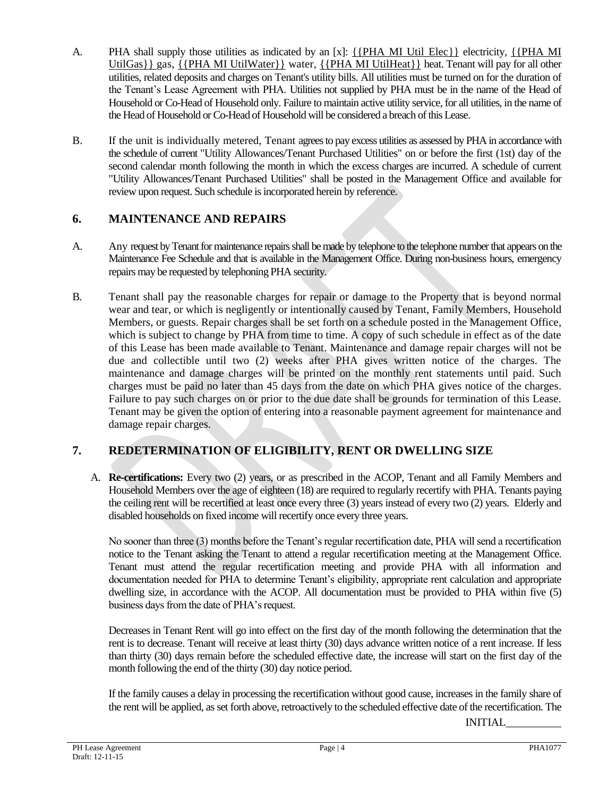- A. PHA shall supply those utilities as indicated by an [x]: {{PHA MI Util Elec}} electricity, {{PHA MI} UtilGas}} gas, {{PHA MI UtilWater}} water, {{PHA MI UtilHeat}} heat. Tenant will pay for all other utilities, related deposits and charges on Tenant's utility bills. All utilities must be turned on for the duration of the Tenant's Lease Agreement with PHA. Utilities not supplied by PHA must be in the name of the Head of Household or Co-Head of Household only. Failure to maintain active utility service, for all utilities, in the name of the Head of Household or Co-Head of Household will be considered a breach of this Lease.
- B. If the unit is individually metered, Tenant agrees to pay excess utilities as assessed by PHA in accordance with the schedule of current "Utility Allowances/Tenant Purchased Utilities" on or before the first (1st) day of the second calendar month following the month in which the excess charges are incurred. A schedule of current "Utility Allowances/Tenant Purchased Utilities" shall be posted in the Management Office and available for review upon request. Such schedule is incorporated herein by reference.

# **6. MAINTENANCE AND REPAIRS**

- A. Any request by Tenant for maintenance repairs shall be made by telephone to the telephone number that appears on the Maintenance Fee Schedule and that is available in the Management Office. During non-business hours, emergency repairs may be requested by telephoning PHA security.
- B. Tenant shall pay the reasonable charges for repair or damage to the Property that is beyond normal wear and tear, or which is negligently or intentionally caused by Tenant, Family Members, Household Members, or guests. Repair charges shall be set forth on a schedule posted in the Management Office, which is subject to change by PHA from time to time. A copy of such schedule in effect as of the date of this Lease has been made available to Tenant. Maintenance and damage repair charges will not be due and collectible until two (2) weeks after PHA gives written notice of the charges. The maintenance and damage charges will be printed on the monthly rent statements until paid. Such charges must be paid no later than 45 days from the date on which PHA gives notice of the charges. Failure to pay such charges on or prior to the due date shall be grounds for termination of this Lease. Tenant may be given the option of entering into a reasonable payment agreement for maintenance and damage repair charges.

# **7. REDETERMINATION OF ELIGIBILITY, RENT OR DWELLING SIZE**

A. **Re-certifications:** Every two (2) years, or as prescribed in the ACOP, Tenant and all Family Members and Household Members over the age of eighteen (18) are required to regularly recertify with PHA. Tenants paying the ceiling rent will be recertified at least once every three (3) years instead of every two (2) years. Elderly and disabled households on fixed income will recertify once every three years.

No sooner than three (3) months before the Tenant's regular recertification date, PHA will send a recertification notice to the Tenant asking the Tenant to attend a regular recertification meeting at the Management Office. Tenant must attend the regular recertification meeting and provide PHA with all information and documentation needed for PHA to determine Tenant's eligibility, appropriate rent calculation and appropriate dwelling size, in accordance with the ACOP. All documentation must be provided to PHA within five (5) business days from the date of PHA's request.

Decreases in Tenant Rent will go into effect on the first day of the month following the determination that the rent is to decrease. Tenant will receive at least thirty (30) days advance written notice of a rent increase. If less than thirty (30) days remain before the scheduled effective date, the increase will start on the first day of the month following the end of the thirty (30) day notice period.

If the family causes a delay in processing the recertification without good cause, increasesin the family share of the rent will be applied, as set forth above, retroactively to the scheduled effective date of the recertification. The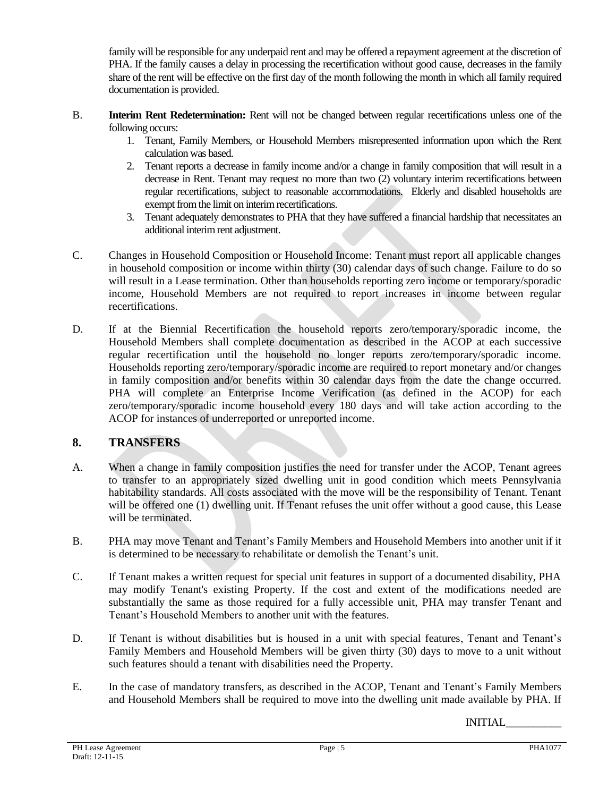family will be responsible for any underpaid rent and may be offered a repayment agreement at the discretion of PHA. If the family causes a delay in processing the recertification without good cause, decreases in the family share of the rent will be effective on the first day of the month following the month in which all family required documentation is provided.

- B. **Interim Rent Redetermination:** Rent will not be changed between regular recertifications unless one of the following occurs:
	- 1. Tenant, Family Members, or Household Members misrepresented information upon which the Rent calculation was based.
	- 2. Tenant reports a decrease in family income and/or a change in family composition that will result in a decrease in Rent. Tenant may request no more than two (2) voluntary interim recertifications between regular recertifications, subject to reasonable accommodations. Elderly and disabled households are exempt from the limit on interim recertifications.
	- 3. Tenant adequately demonstrates to PHA that they have suffered a financial hardship that necessitates an additional interim rent adjustment.
- C. Changes in Household Composition or Household Income: Tenant must report all applicable changes in household composition or income within thirty (30) calendar days of such change. Failure to do so will result in a Lease termination. Other than households reporting zero income or temporary/sporadic income, Household Members are not required to report increases in income between regular recertifications.
- D. If at the Biennial Recertification the household reports zero/temporary/sporadic income, the Household Members shall complete documentation as described in the ACOP at each successive regular recertification until the household no longer reports zero/temporary/sporadic income. Households reporting zero/temporary/sporadic income are required to report monetary and/or changes in family composition and/or benefits within 30 calendar days from the date the change occurred. PHA will complete an Enterprise Income Verification (as defined in the ACOP) for each zero/temporary/sporadic income household every 180 days and will take action according to the ACOP for instances of underreported or unreported income.

# **8. TRANSFERS**

- A. When a change in family composition justifies the need for transfer under the ACOP, Tenant agrees to transfer to an appropriately sized dwelling unit in good condition which meets Pennsylvania habitability standards. All costs associated with the move will be the responsibility of Tenant. Tenant will be offered one (1) dwelling unit. If Tenant refuses the unit offer without a good cause, this Lease will be terminated.
- B. PHA may move Tenant and Tenant's Family Members and Household Members into another unit if it is determined to be necessary to rehabilitate or demolish the Tenant's unit.
- C. If Tenant makes a written request for special unit features in support of a documented disability, PHA may modify Tenant's existing Property. If the cost and extent of the modifications needed are substantially the same as those required for a fully accessible unit, PHA may transfer Tenant and Tenant's Household Members to another unit with the features.
- D. If Tenant is without disabilities but is housed in a unit with special features, Tenant and Tenant's Family Members and Household Members will be given thirty (30) days to move to a unit without such features should a tenant with disabilities need the Property.
- E. In the case of mandatory transfers, as described in the ACOP, Tenant and Tenant's Family Members and Household Members shall be required to move into the dwelling unit made available by PHA. If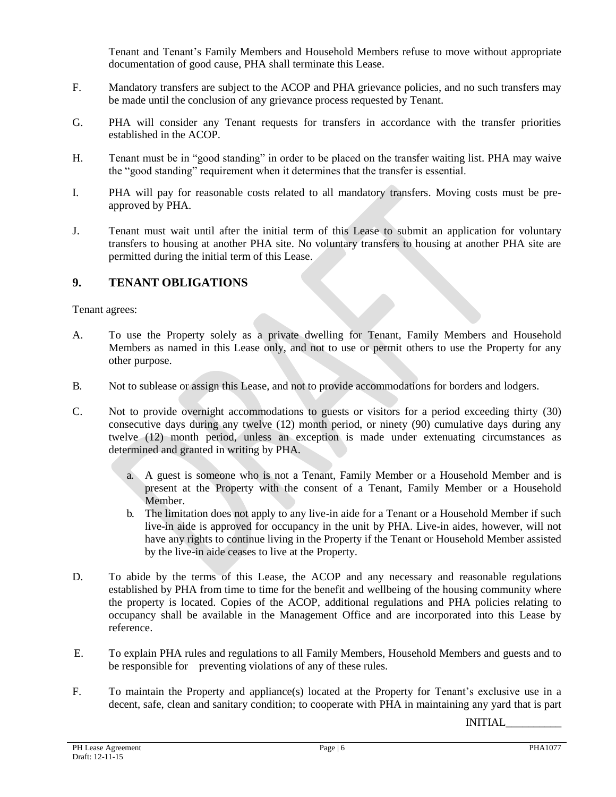Tenant and Tenant's Family Members and Household Members refuse to move without appropriate documentation of good cause, PHA shall terminate this Lease.

- F. Mandatory transfers are subject to the ACOP and PHA grievance policies, and no such transfers may be made until the conclusion of any grievance process requested by Tenant.
- G. PHA will consider any Tenant requests for transfers in accordance with the transfer priorities established in the ACOP.
- H. Tenant must be in "good standing" in order to be placed on the transfer waiting list. PHA may waive the "good standing" requirement when it determines that the transfer is essential.
- I. PHA will pay for reasonable costs related to all mandatory transfers. Moving costs must be preapproved by PHA.
- J. Tenant must wait until after the initial term of this Lease to submit an application for voluntary transfers to housing at another PHA site. No voluntary transfers to housing at another PHA site are permitted during the initial term of this Lease.

# **9. TENANT OBLIGATIONS**

Tenant agrees:

- A. To use the Property solely as a private dwelling for Tenant, Family Members and Household Members as named in this Lease only, and not to use or permit others to use the Property for any other purpose.
- B. Not to sublease or assign this Lease, and not to provide accommodations for borders and lodgers.
- C. Not to provide overnight accommodations to guests or visitors for a period exceeding thirty (30) consecutive days during any twelve (12) month period, or ninety (90) cumulative days during any twelve (12) month period, unless an exception is made under extenuating circumstances as determined and granted in writing by PHA.
	- a. A guest is someone who is not a Tenant, Family Member or a Household Member and is present at the Property with the consent of a Tenant, Family Member or a Household Member.
	- b. The limitation does not apply to any live-in aide for a Tenant or a Household Member if such live-in aide is approved for occupancy in the unit by PHA. Live-in aides, however, will not have any rights to continue living in the Property if the Tenant or Household Member assisted by the live-in aide ceases to live at the Property.
- D. To abide by the terms of this Lease, the ACOP and any necessary and reasonable regulations established by PHA from time to time for the benefit and wellbeing of the housing community where the property is located. Copies of the ACOP, additional regulations and PHA policies relating to occupancy shall be available in the Management Office and are incorporated into this Lease by reference.
- E. To explain PHA rules and regulations to all Family Members, Household Members and guests and to be responsible for preventing violations of any of these rules.
- F. To maintain the Property and appliance(s) located at the Property for Tenant's exclusive use in a decent, safe, clean and sanitary condition; to cooperate with PHA in maintaining any yard that is part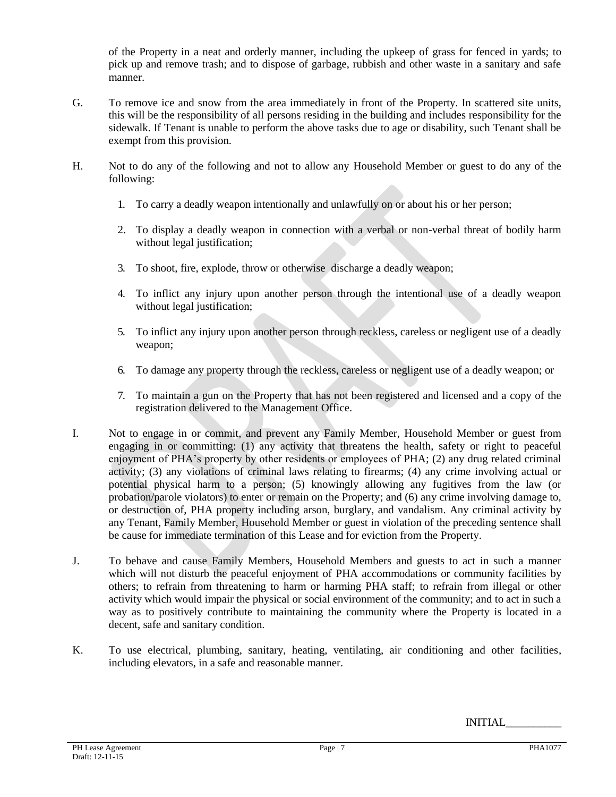of the Property in a neat and orderly manner, including the upkeep of grass for fenced in yards; to pick up and remove trash; and to dispose of garbage, rubbish and other waste in a sanitary and safe manner.

- G. To remove ice and snow from the area immediately in front of the Property. In scattered site units, this will be the responsibility of all persons residing in the building and includes responsibility for the sidewalk. If Tenant is unable to perform the above tasks due to age or disability, such Tenant shall be exempt from this provision.
- H. Not to do any of the following and not to allow any Household Member or guest to do any of the following:
	- 1. To carry a deadly weapon intentionally and unlawfully on or about his or her person;
	- 2. To display a deadly weapon in connection with a verbal or non-verbal threat of bodily harm without legal justification;
	- 3. To shoot, fire, explode, throw or otherwise discharge a deadly weapon;
	- 4. To inflict any injury upon another person through the intentional use of a deadly weapon without legal justification;
	- 5. To inflict any injury upon another person through reckless, careless or negligent use of a deadly weapon;
	- 6. To damage any property through the reckless, careless or negligent use of a deadly weapon; or
	- 7. To maintain a gun on the Property that has not been registered and licensed and a copy of the registration delivered to the Management Office.
- I. Not to engage in or commit, and prevent any Family Member, Household Member or guest from engaging in or committing: (1) any activity that threatens the health, safety or right to peaceful enjoyment of PHA's property by other residents or employees of PHA; (2) any drug related criminal activity; (3) any violations of criminal laws relating to firearms; (4) any crime involving actual or potential physical harm to a person; (5) knowingly allowing any fugitives from the law (or probation/parole violators) to enter or remain on the Property; and (6) any crime involving damage to, or destruction of, PHA property including arson, burglary, and vandalism. Any criminal activity by any Tenant, Family Member, Household Member or guest in violation of the preceding sentence shall be cause for immediate termination of this Lease and for eviction from the Property.
- J. To behave and cause Family Members, Household Members and guests to act in such a manner which will not disturb the peaceful enjoyment of PHA accommodations or community facilities by others; to refrain from threatening to harm or harming PHA staff; to refrain from illegal or other activity which would impair the physical or social environment of the community; and to act in such a way as to positively contribute to maintaining the community where the Property is located in a decent, safe and sanitary condition.
- K. To use electrical, plumbing, sanitary, heating, ventilating, air conditioning and other facilities, including elevators, in a safe and reasonable manner.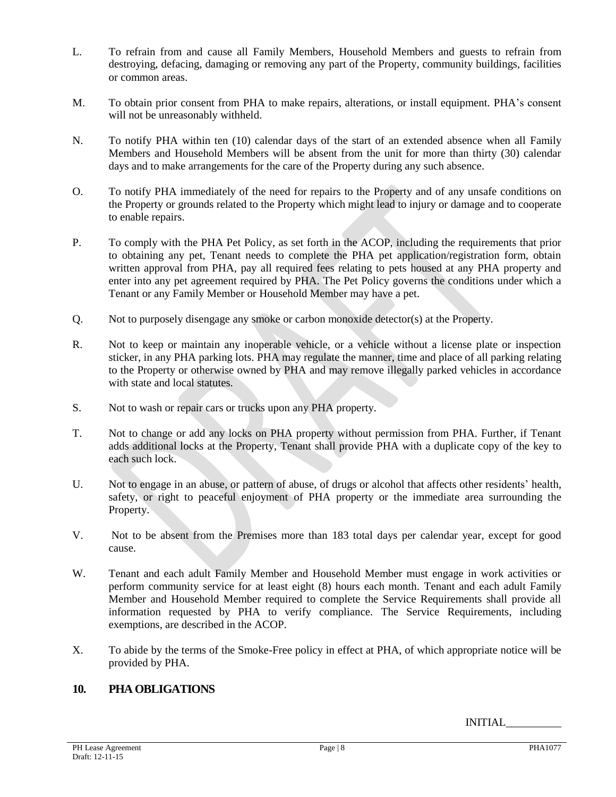- L. To refrain from and cause all Family Members, Household Members and guests to refrain from destroying, defacing, damaging or removing any part of the Property, community buildings, facilities or common areas.
- M. To obtain prior consent from PHA to make repairs, alterations, or install equipment. PHA's consent will not be unreasonably withheld.
- N. To notify PHA within ten (10) calendar days of the start of an extended absence when all Family Members and Household Members will be absent from the unit for more than thirty (30) calendar days and to make arrangements for the care of the Property during any such absence.
- O. To notify PHA immediately of the need for repairs to the Property and of any unsafe conditions on the Property or grounds related to the Property which might lead to injury or damage and to cooperate to enable repairs.
- P. To comply with the PHA Pet Policy, as set forth in the ACOP, including the requirements that prior to obtaining any pet, Tenant needs to complete the PHA pet application/registration form, obtain written approval from PHA, pay all required fees relating to pets housed at any PHA property and enter into any pet agreement required by PHA. The Pet Policy governs the conditions under which a Tenant or any Family Member or Household Member may have a pet.
- Q. Not to purposely disengage any smoke or carbon monoxide detector(s) at the Property.
- R. Not to keep or maintain any inoperable vehicle, or a vehicle without a license plate or inspection sticker, in any PHA parking lots. PHA may regulate the manner, time and place of all parking relating to the Property or otherwise owned by PHA and may remove illegally parked vehicles in accordance with state and local statutes.
- S. Not to wash or repair cars or trucks upon any PHA property.
- T. Not to change or add any locks on PHA property without permission from PHA. Further, if Tenant adds additional locks at the Property, Tenant shall provide PHA with a duplicate copy of the key to each such lock.
- U. Not to engage in an abuse, or pattern of abuse, of drugs or alcohol that affects other residents' health, safety, or right to peaceful enjoyment of PHA property or the immediate area surrounding the Property.
- V. Not to be absent from the Premises more than 183 total days per calendar year, except for good cause.
- W. Tenant and each adult Family Member and Household Member must engage in work activities or perform community service for at least eight (8) hours each month. Tenant and each adult Family Member and Household Member required to complete the Service Requirements shall provide all information requested by PHA to verify compliance. The Service Requirements, including exemptions, are described in the ACOP.
- X. To abide by the terms of the Smoke-Free policy in effect at PHA, of which appropriate notice will be provided by PHA.

# **10. PHA OBLIGATIONS**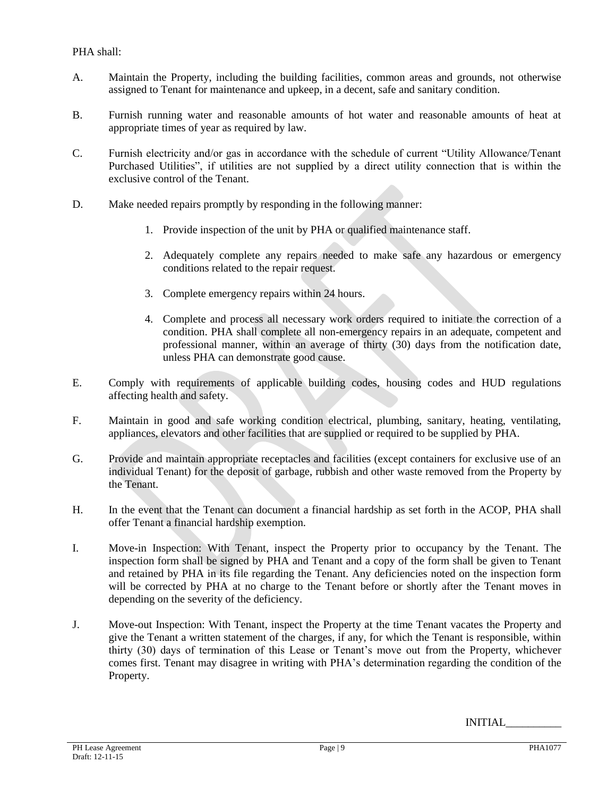PHA shall:

- A. Maintain the Property, including the building facilities, common areas and grounds, not otherwise assigned to Tenant for maintenance and upkeep, in a decent, safe and sanitary condition.
- B. Furnish running water and reasonable amounts of hot water and reasonable amounts of heat at appropriate times of year as required by law.
- C. Furnish electricity and/or gas in accordance with the schedule of current "Utility Allowance/Tenant Purchased Utilities", if utilities are not supplied by a direct utility connection that is within the exclusive control of the Tenant.
- D. Make needed repairs promptly by responding in the following manner:
	- 1. Provide inspection of the unit by PHA or qualified maintenance staff.
	- 2. Adequately complete any repairs needed to make safe any hazardous or emergency conditions related to the repair request.
	- 3. Complete emergency repairs within 24 hours.
	- 4. Complete and process all necessary work orders required to initiate the correction of a condition. PHA shall complete all non-emergency repairs in an adequate, competent and professional manner, within an average of thirty (30) days from the notification date, unless PHA can demonstrate good cause.
- E. Comply with requirements of applicable building codes, housing codes and HUD regulations affecting health and safety.
- F. Maintain in good and safe working condition electrical, plumbing, sanitary, heating, ventilating, appliances, elevators and other facilities that are supplied or required to be supplied by PHA.
- G. Provide and maintain appropriate receptacles and facilities (except containers for exclusive use of an individual Tenant) for the deposit of garbage, rubbish and other waste removed from the Property by the Tenant.
- H. In the event that the Tenant can document a financial hardship as set forth in the ACOP, PHA shall offer Tenant a financial hardship exemption.
- I. Move-in Inspection: With Tenant, inspect the Property prior to occupancy by the Tenant. The inspection form shall be signed by PHA and Tenant and a copy of the form shall be given to Tenant and retained by PHA in its file regarding the Tenant. Any deficiencies noted on the inspection form will be corrected by PHA at no charge to the Tenant before or shortly after the Tenant moves in depending on the severity of the deficiency.
- J. Move-out Inspection: With Tenant, inspect the Property at the time Tenant vacates the Property and give the Tenant a written statement of the charges, if any, for which the Tenant is responsible, within thirty (30) days of termination of this Lease or Tenant's move out from the Property, whichever comes first. Tenant may disagree in writing with PHA's determination regarding the condition of the Property.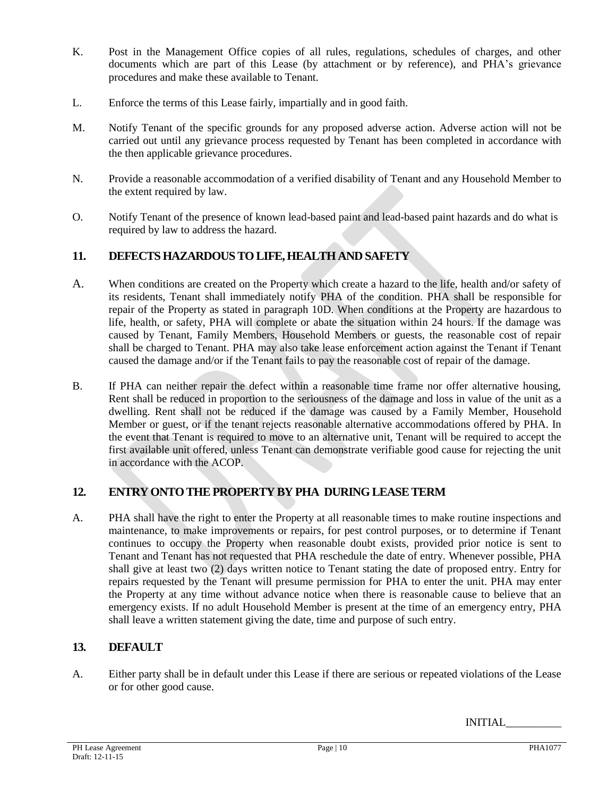- K. Post in the Management Office copies of all rules, regulations, schedules of charges, and other documents which are part of this Lease (by attachment or by reference), and PHA's grievance procedures and make these available to Tenant.
- L. Enforce the terms of this Lease fairly, impartially and in good faith.
- M. Notify Tenant of the specific grounds for any proposed adverse action. Adverse action will not be carried out until any grievance process requested by Tenant has been completed in accordance with the then applicable grievance procedures.
- N. Provide a reasonable accommodation of a verified disability of Tenant and any Household Member to the extent required by law.
- O. Notify Tenant of the presence of known lead-based paint and lead-based paint hazards and do what is required by law to address the hazard.

# **11. DEFECTS HAZARDOUS TO LIFE, HEALTH AND SAFETY**

- A. When conditions are created on the Property which create a hazard to the life, health and/or safety of its residents, Tenant shall immediately notify PHA of the condition. PHA shall be responsible for repair of the Property as stated in paragraph 10D. When conditions at the Property are hazardous to life, health, or safety, PHA will complete or abate the situation within 24 hours. If the damage was caused by Tenant, Family Members, Household Members or guests, the reasonable cost of repair shall be charged to Tenant. PHA may also take lease enforcement action against the Tenant if Tenant caused the damage and/or if the Tenant fails to pay the reasonable cost of repair of the damage.
- B. If PHA can neither repair the defect within a reasonable time frame nor offer alternative housing, Rent shall be reduced in proportion to the seriousness of the damage and loss in value of the unit as a dwelling. Rent shall not be reduced if the damage was caused by a Family Member, Household Member or guest, or if the tenant rejects reasonable alternative accommodations offered by PHA. In the event that Tenant is required to move to an alternative unit, Tenant will be required to accept the first available unit offered, unless Tenant can demonstrate verifiable good cause for rejecting the unit in accordance with the ACOP.

# **12. ENTRY ONTO THE PROPERTY BY PHA DURING LEASE TERM**

A. PHA shall have the right to enter the Property at all reasonable times to make routine inspections and maintenance, to make improvements or repairs, for pest control purposes, or to determine if Tenant continues to occupy the Property when reasonable doubt exists, provided prior notice is sent to Tenant and Tenant has not requested that PHA reschedule the date of entry. Whenever possible, PHA shall give at least two (2) days written notice to Tenant stating the date of proposed entry. Entry for repairs requested by the Tenant will presume permission for PHA to enter the unit. PHA may enter the Property at any time without advance notice when there is reasonable cause to believe that an emergency exists. If no adult Household Member is present at the time of an emergency entry, PHA shall leave a written statement giving the date, time and purpose of such entry.

# **13. DEFAULT**

A. Either party shall be in default under this Lease if there are serious or repeated violations of the Lease or for other good cause.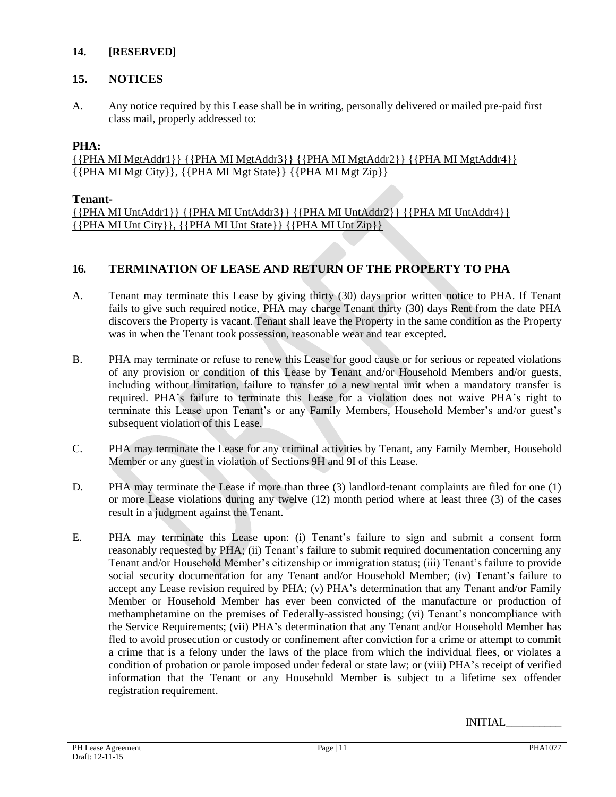## **14. [RESERVED]**

# **15. NOTICES**

A. Any notice required by this Lease shall be in writing, personally delivered or mailed pre-paid first class mail, properly addressed to:

# **PHA:**

{{PHA MI MgtAddr1}} {{PHA MI MgtAddr3}} {{PHA MI MgtAddr2}} {{PHA MI MgtAddr4}} {{PHA MI Mgt City}}, {{PHA MI Mgt State}} {{PHA MI Mgt Zip}}

## **Tenant-**

{{PHA MI UntAddr1}} {{PHA MI UntAddr3}} {{PHA MI UntAddr2}} {{PHA MI UntAddr4}} {{PHA MI Unt City}}, {{PHA MI Unt State}} {{PHA MI Unt Zip}}

# **16. TERMINATION OF LEASE AND RETURN OF THE PROPERTY TO PHA**

- A. Tenant may terminate this Lease by giving thirty (30) days prior written notice to PHA. If Tenant fails to give such required notice, PHA may charge Tenant thirty (30) days Rent from the date PHA discovers the Property is vacant. Tenant shall leave the Property in the same condition as the Property was in when the Tenant took possession, reasonable wear and tear excepted.
- B. PHA may terminate or refuse to renew this Lease for good cause or for serious or repeated violations of any provision or condition of this Lease by Tenant and/or Household Members and/or guests, including without limitation, failure to transfer to a new rental unit when a mandatory transfer is required. PHA's failure to terminate this Lease for a violation does not waive PHA's right to terminate this Lease upon Tenant's or any Family Members, Household Member's and/or guest's subsequent violation of this Lease.
- C. PHA may terminate the Lease for any criminal activities by Tenant, any Family Member, Household Member or any guest in violation of Sections 9H and 9I of this Lease.
- D. PHA may terminate the Lease if more than three (3) landlord-tenant complaints are filed for one (1) or more Lease violations during any twelve (12) month period where at least three (3) of the cases result in a judgment against the Tenant.
- E. PHA may terminate this Lease upon: (i) Tenant's failure to sign and submit a consent form reasonably requested by PHA; (ii) Tenant's failure to submit required documentation concerning any Tenant and/or Household Member's citizenship or immigration status; (iii) Tenant's failure to provide social security documentation for any Tenant and/or Household Member; (iv) Tenant's failure to accept any Lease revision required by PHA; (v) PHA's determination that any Tenant and/or Family Member or Household Member has ever been convicted of the manufacture or production of methamphetamine on the premises of Federally-assisted housing; (vi) Tenant's noncompliance with the Service Requirements; (vii) PHA's determination that any Tenant and/or Household Member has fled to avoid prosecution or custody or confinement after conviction for a crime or attempt to commit a crime that is a felony under the laws of the place from which the individual flees, or violates a condition of probation or parole imposed under federal or state law; or (viii) PHA's receipt of verified information that the Tenant or any Household Member is subject to a lifetime sex offender registration requirement.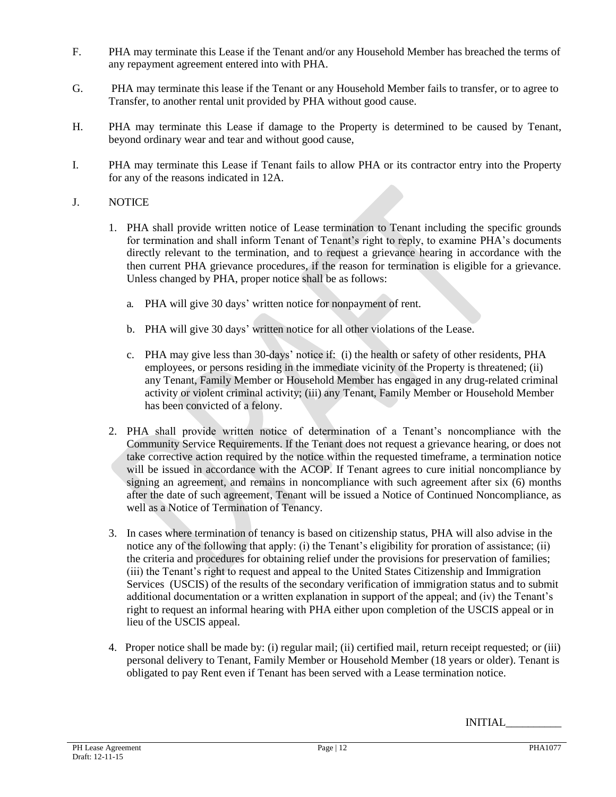- F. PHA may terminate this Lease if the Tenant and/or any Household Member has breached the terms of any repayment agreement entered into with PHA.
- G. PHA may terminate this lease if the Tenant or any Household Member fails to transfer, or to agree to Transfer, to another rental unit provided by PHA without good cause.
- H. PHA may terminate this Lease if damage to the Property is determined to be caused by Tenant, beyond ordinary wear and tear and without good cause,
- I. PHA may terminate this Lease if Tenant fails to allow PHA or its contractor entry into the Property for any of the reasons indicated in 12A.

## J. NOTICE

- 1. PHA shall provide written notice of Lease termination to Tenant including the specific grounds for termination and shall inform Tenant of Tenant's right to reply, to examine PHA's documents directly relevant to the termination, and to request a grievance hearing in accordance with the then current PHA grievance procedures, if the reason for termination is eligible for a grievance. Unless changed by PHA, proper notice shall be as follows:
	- a. PHA will give 30 days' written notice for nonpayment of rent.
	- b. PHA will give 30 days' written notice for all other violations of the Lease.
	- c. PHA may give less than 30-days' notice if: (i) the health or safety of other residents, PHA employees, or persons residing in the immediate vicinity of the Property is threatened; (ii) any Tenant, Family Member or Household Member has engaged in any drug-related criminal activity or violent criminal activity; (iii) any Tenant, Family Member or Household Member has been convicted of a felony.
- 2. PHA shall provide written notice of determination of a Tenant's noncompliance with the Community Service Requirements. If the Tenant does not request a grievance hearing, or does not take corrective action required by the notice within the requested timeframe, a termination notice will be issued in accordance with the ACOP. If Tenant agrees to cure initial noncompliance by signing an agreement, and remains in noncompliance with such agreement after six (6) months after the date of such agreement, Tenant will be issued a Notice of Continued Noncompliance, as well as a Notice of Termination of Tenancy.
- 3. In cases where termination of tenancy is based on citizenship status, PHA will also advise in the notice any of the following that apply: (i) the Tenant's eligibility for proration of assistance; (ii) the criteria and procedures for obtaining relief under the provisions for preservation of families; (iii) the Tenant's right to request and appeal to the United States Citizenship and Immigration Services (USCIS) of the results of the secondary verification of immigration status and to submit additional documentation or a written explanation in support of the appeal; and (iv) the Tenant's right to request an informal hearing with PHA either upon completion of the USCIS appeal or in lieu of the USCIS appeal.
- 4. Proper notice shall be made by: (i) regular mail; (ii) certified mail, return receipt requested; or (iii) personal delivery to Tenant, Family Member or Household Member (18 years or older). Tenant is obligated to pay Rent even if Tenant has been served with a Lease termination notice.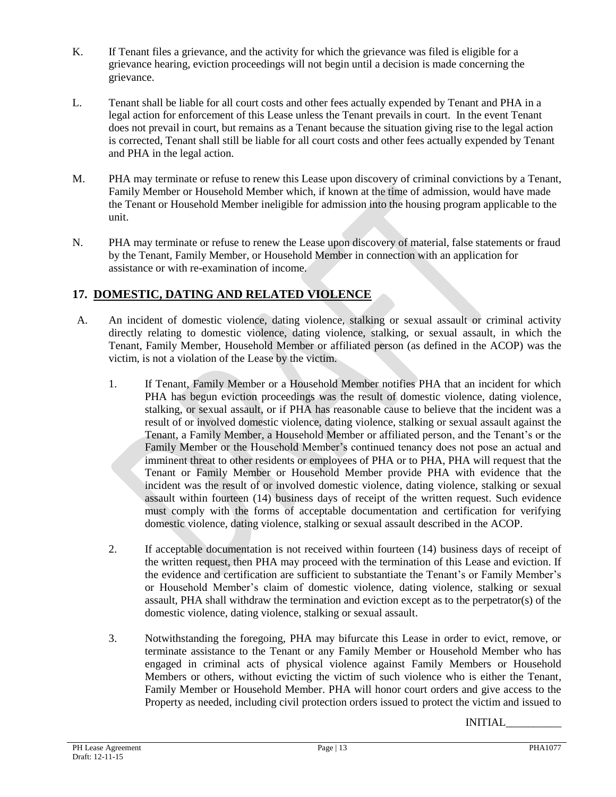- K. If Tenant files a grievance, and the activity for which the grievance was filed is eligible for a grievance hearing, eviction proceedings will not begin until a decision is made concerning the grievance.
- L. Tenant shall be liable for all court costs and other fees actually expended by Tenant and PHA in a legal action for enforcement of this Lease unless the Tenant prevails in court. In the event Tenant does not prevail in court, but remains as a Tenant because the situation giving rise to the legal action is corrected, Tenant shall still be liable for all court costs and other fees actually expended by Tenant and PHA in the legal action.
- M. PHA may terminate or refuse to renew this Lease upon discovery of criminal convictions by a Tenant, Family Member or Household Member which, if known at the time of admission, would have made the Tenant or Household Member ineligible for admission into the housing program applicable to the unit.
- N. PHA may terminate or refuse to renew the Lease upon discovery of material, false statements or fraud by the Tenant, Family Member, or Household Member in connection with an application for assistance or with re-examination of income.

# **17. DOMESTIC, DATING AND RELATED VIOLENCE**

- A. An incident of domestic violence, dating violence, stalking or sexual assault or criminal activity directly relating to domestic violence, dating violence, stalking, or sexual assault, in which the Tenant, Family Member, Household Member or affiliated person (as defined in the ACOP) was the victim, is not a violation of the Lease by the victim.
	- 1. If Tenant, Family Member or a Household Member notifies PHA that an incident for which PHA has begun eviction proceedings was the result of domestic violence, dating violence, stalking, or sexual assault, or if PHA has reasonable cause to believe that the incident was a result of or involved domestic violence, dating violence, stalking or sexual assault against the Tenant, a Family Member, a Household Member or affiliated person, and the Tenant's or the Family Member or the Household Member's continued tenancy does not pose an actual and imminent threat to other residents or employees of PHA or to PHA, PHA will request that the Tenant or Family Member or Household Member provide PHA with evidence that the incident was the result of or involved domestic violence, dating violence, stalking or sexual assault within fourteen (14) business days of receipt of the written request. Such evidence must comply with the forms of acceptable documentation and certification for verifying domestic violence, dating violence, stalking or sexual assault described in the ACOP.
	- 2. If acceptable documentation is not received within fourteen (14) business days of receipt of the written request, then PHA may proceed with the termination of this Lease and eviction. If the evidence and certification are sufficient to substantiate the Tenant's or Family Member's or Household Member's claim of domestic violence, dating violence, stalking or sexual assault, PHA shall withdraw the termination and eviction except as to the perpetrator(s) of the domestic violence, dating violence, stalking or sexual assault.
	- 3. Notwithstanding the foregoing, PHA may bifurcate this Lease in order to evict, remove, or terminate assistance to the Tenant or any Family Member or Household Member who has engaged in criminal acts of physical violence against Family Members or Household Members or others, without evicting the victim of such violence who is either the Tenant, Family Member or Household Member. PHA will honor court orders and give access to the Property as needed, including civil protection orders issued to protect the victim and issued to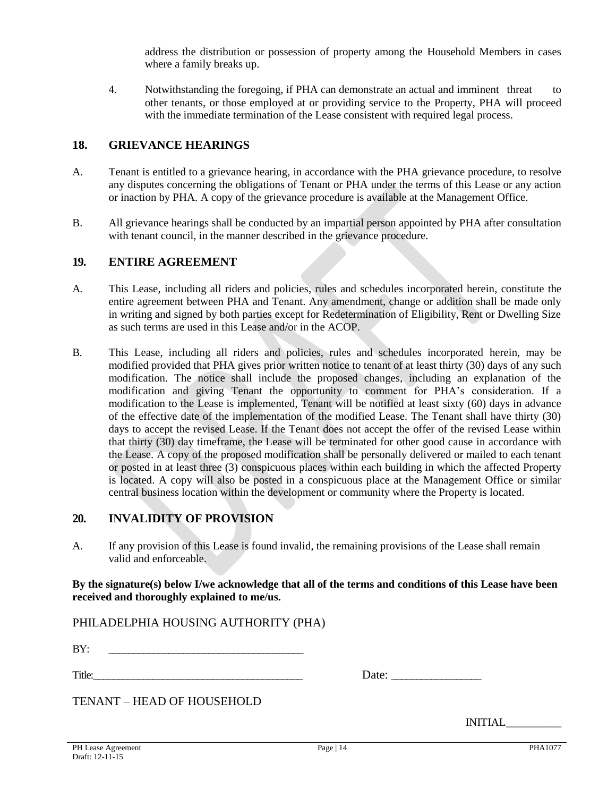address the distribution or possession of property among the Household Members in cases where a family breaks up.

4. Notwithstanding the foregoing, if PHA can demonstrate an actual and imminent threat to other tenants, or those employed at or providing service to the Property, PHA will proceed with the immediate termination of the Lease consistent with required legal process.

## **18. GRIEVANCE HEARINGS**

- A. Tenant is entitled to a grievance hearing, in accordance with the PHA grievance procedure, to resolve any disputes concerning the obligations of Tenant or PHA under the terms of this Lease or any action or inaction by PHA. A copy of the grievance procedure is available at the Management Office.
- B. All grievance hearings shall be conducted by an impartial person appointed by PHA after consultation with tenant council, in the manner described in the grievance procedure.

## **19. ENTIRE AGREEMENT**

- A. This Lease, including all riders and policies, rules and schedules incorporated herein, constitute the entire agreement between PHA and Tenant. Any amendment, change or addition shall be made only in writing and signed by both parties except for Redetermination of Eligibility, Rent or Dwelling Size as such terms are used in this Lease and/or in the ACOP.
- B. This Lease, including all riders and policies, rules and schedules incorporated herein, may be modified provided that PHA gives prior written notice to tenant of at least thirty (30) days of any such modification. The notice shall include the proposed changes, including an explanation of the modification and giving Tenant the opportunity to comment for PHA's consideration. If a modification to the Lease is implemented, Tenant will be notified at least sixty (60) days in advance of the effective date of the implementation of the modified Lease. The Tenant shall have thirty (30) days to accept the revised Lease. If the Tenant does not accept the offer of the revised Lease within that thirty (30) day timeframe, the Lease will be terminated for other good cause in accordance with the Lease. A copy of the proposed modification shall be personally delivered or mailed to each tenant or posted in at least three (3) conspicuous places within each building in which the affected Property is located. A copy will also be posted in a conspicuous place at the Management Office or similar central business location within the development or community where the Property is located.

## **20. INVALIDITY OF PROVISION**

A. If any provision of this Lease is found invalid, the remaining provisions of the Lease shall remain valid and enforceable.

**By the signature(s) below I/we acknowledge that all of the terms and conditions of this Lease have been received and thoroughly explained to me/us.**

PHILADELPHIA HOUSING AUTHORITY (PHA)

BY: \_\_\_\_\_\_\_\_\_\_\_\_\_\_\_\_\_\_\_\_\_\_\_\_\_\_\_\_\_\_\_\_\_\_\_\_\_\_\_

Title:\_\_\_\_\_\_\_\_\_\_\_\_\_\_\_\_\_\_\_\_\_\_\_\_\_\_\_\_\_\_\_\_\_\_\_\_\_\_\_\_\_\_ Date: \_\_\_\_\_\_\_\_\_\_\_\_\_\_\_\_\_\_

| Date: |
|-------|
|-------|

TENANT – HEAD OF HOUSEHOLD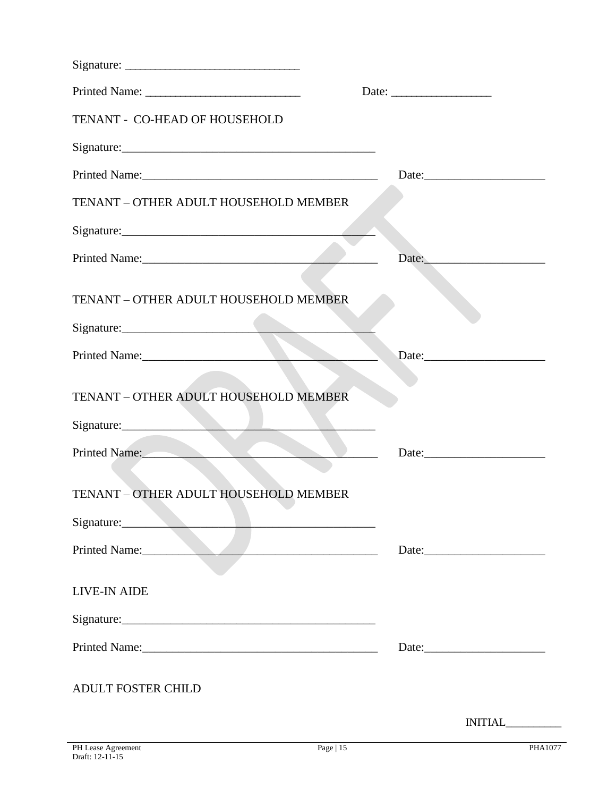| TENANT - CO-HEAD OF HOUSEHOLD         |                           |
|---------------------------------------|---------------------------|
|                                       |                           |
|                                       | Date: $\frac{1}{2}$ Date: |
| TENANT - OTHER ADULT HOUSEHOLD MEMBER |                           |
|                                       |                           |
|                                       | Date:                     |
| TENANT - OTHER ADULT HOUSEHOLD MEMBER |                           |
|                                       |                           |
| Printed Name:                         |                           |
| TENANT - OTHER ADULT HOUSEHOLD MEMBER |                           |
| Signature:                            |                           |
| Printed Name:                         |                           |
| TENANT - OTHER ADULT HOUSEHOLD MEMBER |                           |
| Signature:                            |                           |
| Printed Name:                         |                           |
| <b>LIVE-IN AIDE</b>                   |                           |
|                                       |                           |
|                                       | Date:                     |
| <b>ADULT FOSTER CHILD</b>             |                           |
|                                       | INITIAL                   |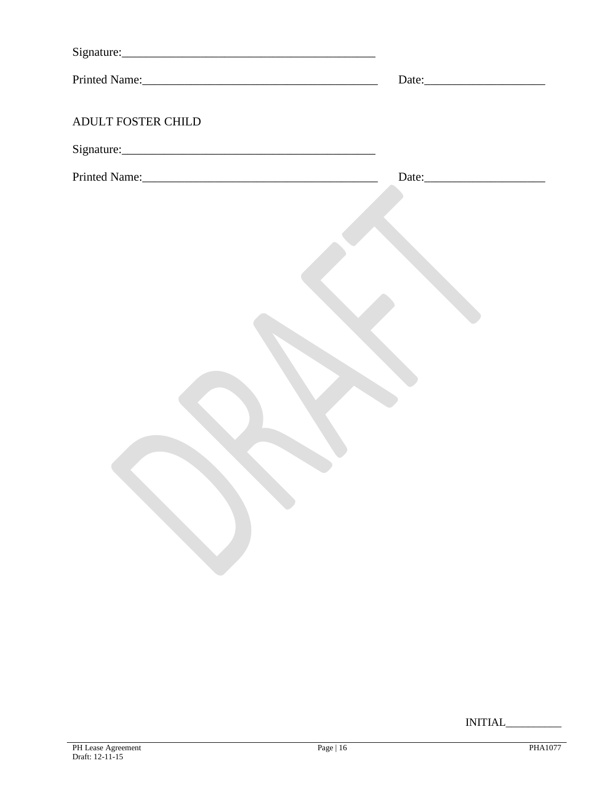| Printed Name:      | Date: |
|--------------------|-------|
| ADULT FOSTER CHILD |       |
|                    |       |
|                    |       |
|                    |       |
|                    |       |
|                    |       |
|                    |       |
|                    |       |
|                    |       |
|                    |       |
|                    |       |
|                    |       |
|                    |       |
|                    |       |
|                    |       |
|                    |       |
|                    |       |
|                    |       |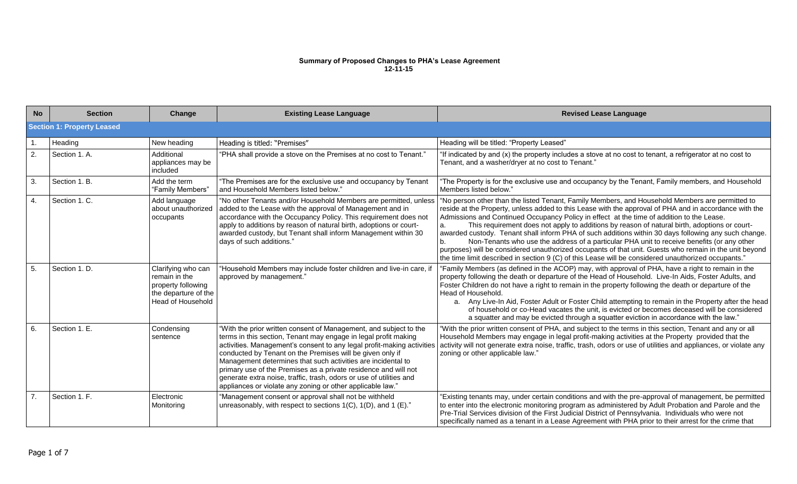#### **Summary of Proposed Changes to PHA's Lease Agreement 12-11-15**

| <b>No</b>        | <b>Section</b>                    | Change                                                                                                        | <b>Existing Lease Language</b>                                                                                                                                                                                                                                                                                                                                                                                                                                                                                                                      | <b>Revised Lease Language</b>                                                                                                                                                                                                                                                                                                                                                                                                                                                                                                                                                                                                                                                                                                                                                                                                             |
|------------------|-----------------------------------|---------------------------------------------------------------------------------------------------------------|-----------------------------------------------------------------------------------------------------------------------------------------------------------------------------------------------------------------------------------------------------------------------------------------------------------------------------------------------------------------------------------------------------------------------------------------------------------------------------------------------------------------------------------------------------|-------------------------------------------------------------------------------------------------------------------------------------------------------------------------------------------------------------------------------------------------------------------------------------------------------------------------------------------------------------------------------------------------------------------------------------------------------------------------------------------------------------------------------------------------------------------------------------------------------------------------------------------------------------------------------------------------------------------------------------------------------------------------------------------------------------------------------------------|
|                  | <b>Section 1: Property Leased</b> |                                                                                                               |                                                                                                                                                                                                                                                                                                                                                                                                                                                                                                                                                     |                                                                                                                                                                                                                                                                                                                                                                                                                                                                                                                                                                                                                                                                                                                                                                                                                                           |
| $\overline{1}$ . | Heading                           | New heading                                                                                                   | Heading is titled: "Premises"                                                                                                                                                                                                                                                                                                                                                                                                                                                                                                                       | Heading will be titled: "Property Leased"                                                                                                                                                                                                                                                                                                                                                                                                                                                                                                                                                                                                                                                                                                                                                                                                 |
| $\overline{2}$ . | Section 1. A.                     | Additional<br>appliances may be<br>included                                                                   | "PHA shall provide a stove on the Premises at no cost to Tenant."                                                                                                                                                                                                                                                                                                                                                                                                                                                                                   | "If indicated by and (x) the property includes a stove at no cost to tenant, a refrigerator at no cost to<br>Tenant, and a washer/dryer at no cost to Tenant."                                                                                                                                                                                                                                                                                                                                                                                                                                                                                                                                                                                                                                                                            |
| 3.               | Section 1. B.                     | Add the term<br>"Family Members"                                                                              | "The Premises are for the exclusive use and occupancy by Tenant<br>and Household Members listed below."                                                                                                                                                                                                                                                                                                                                                                                                                                             | The Property is for the exclusive use and occupancy by the Tenant, Family members, and Household<br>Members listed below."                                                                                                                                                                                                                                                                                                                                                                                                                                                                                                                                                                                                                                                                                                                |
| $\overline{4}$ . | Section 1. C.                     | Add language<br>about unauthorized<br>occupants                                                               | "No other Tenants and/or Household Members are permitted, unless<br>added to the Lease with the approval of Management and in<br>accordance with the Occupancy Policy. This requirement does not<br>apply to additions by reason of natural birth, adoptions or court-<br>awarded custody, but Tenant shall inform Management within 30<br>days of such additions."                                                                                                                                                                                 | "No person other than the listed Tenant, Family Members, and Household Members are permitted to<br>reside at the Property, unless added to this Lease with the approval of PHA and in accordance with the<br>Admissions and Continued Occupancy Policy in effect at the time of addition to the Lease.<br>This requirement does not apply to additions by reason of natural birth, adoptions or court-<br>a.<br>awarded custody. Tenant shall inform PHA of such additions within 30 days following any such change.<br>Non-Tenants who use the address of a particular PHA unit to receive benefits (or any other<br>b.<br>purposes) will be considered unauthorized occupants of that unit. Guests who remain in the unit beyond<br>the time limit described in section 9 (C) of this Lease will be considered unauthorized occupants." |
| 5.               | Section 1. D.                     | Clarifying who can<br>remain in the<br>property following<br>the departure of the<br><b>Head of Household</b> | "Household Members may include foster children and live-in care, if<br>approved by management."                                                                                                                                                                                                                                                                                                                                                                                                                                                     | "Family Members (as defined in the ACOP) may, with approval of PHA, have a right to remain in the<br>property following the death or departure of the Head of Household. Live-In Aids, Foster Adults, and<br>Foster Children do not have a right to remain in the property following the death or departure of the<br>Head of Household.<br>a. Any Live-In Aid, Foster Adult or Foster Child attempting to remain in the Property after the head<br>of household or co-Head vacates the unit, is evicted or becomes deceased will be considered<br>a squatter and may be evicted through a squatter eviction in accordance with the law."                                                                                                                                                                                                 |
| 6.               | Section 1. E.                     | Condensing<br>sentence                                                                                        | "With the prior written consent of Management, and subject to the<br>terms in this section, Tenant may engage in legal profit making<br>activities. Management's consent to any legal profit-making activities<br>conducted by Tenant on the Premises will be given only if<br>Management determines that such activities are incidental to<br>primary use of the Premises as a private residence and will not<br>generate extra noise, traffic, trash, odors or use of utilities and<br>appliances or violate any zoning or other applicable law." | "With the prior written consent of PHA, and subject to the terms in this section, Tenant and any or all<br>Household Members may engage in legal profit-making activities at the Property provided that the<br>activity will not generate extra noise, traffic, trash, odors or use of utilities and appliances, or violate any<br>zoning or other applicable law."                                                                                                                                                                                                                                                                                                                                                                                                                                                                       |
| 7.               | Section 1. F.                     | Electronic<br>Monitoring                                                                                      | "Management consent or approval shall not be withheld<br>unreasonably, with respect to sections 1(C), 1(D), and 1 (E)."                                                                                                                                                                                                                                                                                                                                                                                                                             | "Existing tenants may, under certain conditions and with the pre-approval of management, be permitted<br>to enter into the electronic monitoring program as administered by Adult Probation and Parole and the<br>Pre-Trial Services division of the First Judicial District of Pennsylvania. Individuals who were not<br>specifically named as a tenant in a Lease Agreement with PHA prior to their arrest for the crime that                                                                                                                                                                                                                                                                                                                                                                                                           |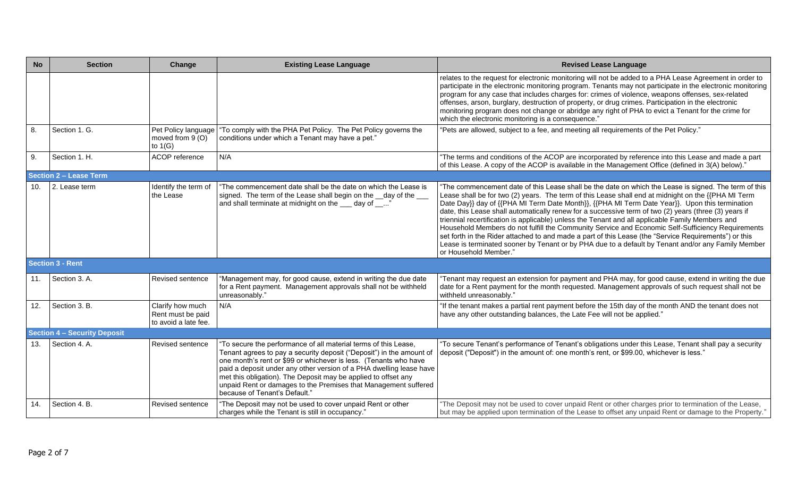| <b>No</b> | <b>Section</b>                      | Change                                                        | <b>Existing Lease Language</b>                                                                                                                                                                                                                                                                                                                                                                                                                           | <b>Revised Lease Language</b>                                                                                                                                                                                                                                                                                                                                                                                                                                                                                                                                                                                                                                                                                                                                                                                                                                            |
|-----------|-------------------------------------|---------------------------------------------------------------|----------------------------------------------------------------------------------------------------------------------------------------------------------------------------------------------------------------------------------------------------------------------------------------------------------------------------------------------------------------------------------------------------------------------------------------------------------|--------------------------------------------------------------------------------------------------------------------------------------------------------------------------------------------------------------------------------------------------------------------------------------------------------------------------------------------------------------------------------------------------------------------------------------------------------------------------------------------------------------------------------------------------------------------------------------------------------------------------------------------------------------------------------------------------------------------------------------------------------------------------------------------------------------------------------------------------------------------------|
|           |                                     |                                                               |                                                                                                                                                                                                                                                                                                                                                                                                                                                          | relates to the request for electronic monitoring will not be added to a PHA Lease Agreement in order to<br>participate in the electronic monitoring program. Tenants may not participate in the electronic monitoring<br>program for any case that includes charges for: crimes of violence, weapons offenses, sex-related<br>offenses, arson, burglary, destruction of property, or drug crimes. Participation in the electronic<br>monitoring program does not change or abridge any right of PHA to evict a Tenant for the crime for<br>which the electronic monitoring is a consequence."                                                                                                                                                                                                                                                                            |
| 8.        | Section 1. G.                       | Pet Policy language<br>moved from 9 (O)<br>to $1(G)$          | "To comply with the PHA Pet Policy. The Pet Policy governs the<br>conditions under which a Tenant may have a pet."                                                                                                                                                                                                                                                                                                                                       | "Pets are allowed, subject to a fee, and meeting all requirements of the Pet Policy."                                                                                                                                                                                                                                                                                                                                                                                                                                                                                                                                                                                                                                                                                                                                                                                    |
| 9.        | Section 1. H.                       | ACOP reference                                                | N/A                                                                                                                                                                                                                                                                                                                                                                                                                                                      | "The terms and conditions of the ACOP are incorporated by reference into this Lease and made a part<br>of this Lease. A copy of the ACOP is available in the Management Office (defined in 3(A) below)."                                                                                                                                                                                                                                                                                                                                                                                                                                                                                                                                                                                                                                                                 |
|           | <b>Section 2 - Lease Term</b>       |                                                               |                                                                                                                                                                                                                                                                                                                                                                                                                                                          |                                                                                                                                                                                                                                                                                                                                                                                                                                                                                                                                                                                                                                                                                                                                                                                                                                                                          |
| 10.       | 2. Lease term                       | Identify the term of<br>the Lease                             | "The commencement date shall be the date on which the Lease is<br>signed. The term of the Lease shall begin on the __day of the __<br>and shall terminate at midnight on the day of "                                                                                                                                                                                                                                                                    | "The commencement date of this Lease shall be the date on which the Lease is signed. The term of this<br>Lease shall be for two (2) years. The term of this Lease shall end at midnight on the {{PHA MI Term<br>Date Day}} day of {{PHA MI Term Date Month}}, {{PHA MI Term Date Year}}. Upon this termination<br>date, this Lease shall automatically renew for a successive term of two (2) years (three (3) years if<br>triennial recertification is applicable) unless the Tenant and all applicable Family Members and<br>Household Members do not fulfill the Community Service and Economic Self-Sufficiency Requirements<br>set forth in the Rider attached to and made a part of this Lease (the "Service Requirements") or this<br>Lease is terminated sooner by Tenant or by PHA due to a default by Tenant and/or any Family Member<br>or Household Member." |
|           | Section 3 - Rent                    |                                                               |                                                                                                                                                                                                                                                                                                                                                                                                                                                          |                                                                                                                                                                                                                                                                                                                                                                                                                                                                                                                                                                                                                                                                                                                                                                                                                                                                          |
| 11.       | Section 3. A.                       | Revised sentence                                              | "Management may, for good cause, extend in writing the due date<br>for a Rent payment. Management approvals shall not be withheld<br>unreasonably."                                                                                                                                                                                                                                                                                                      | Tenant may request an extension for payment and PHA may, for good cause, extend in writing the due<br>date for a Rent payment for the month requested. Management approvals of such request shall not be<br>withheld unreasonably."                                                                                                                                                                                                                                                                                                                                                                                                                                                                                                                                                                                                                                      |
| 12.       | Section 3. B.                       | Clarify how much<br>Rent must be paid<br>to avoid a late fee. | N/A                                                                                                                                                                                                                                                                                                                                                                                                                                                      | "If the tenant makes a partial rent payment before the 15th day of the month AND the tenant does not<br>have any other outstanding balances, the Late Fee will not be applied."                                                                                                                                                                                                                                                                                                                                                                                                                                                                                                                                                                                                                                                                                          |
|           | <b>Section 4 - Security Deposit</b> |                                                               |                                                                                                                                                                                                                                                                                                                                                                                                                                                          |                                                                                                                                                                                                                                                                                                                                                                                                                                                                                                                                                                                                                                                                                                                                                                                                                                                                          |
| 13.       | Section 4. A.                       | Revised sentence                                              | 'To secure the performance of all material terms of this Lease,<br>Tenant agrees to pay a security deposit ("Deposit") in the amount of<br>one month's rent or \$99 or whichever is less. (Tenants who have<br>paid a deposit under any other version of a PHA dwelling lease have<br>met this obligation). The Deposit may be applied to offset any<br>unpaid Rent or damages to the Premises that Management suffered<br>because of Tenant's Default." | To secure Tenant's performance of Tenant's obligations under this Lease, Tenant shall pay a security<br>deposit ("Deposit") in the amount of: one month's rent, or \$99.00, whichever is less.'                                                                                                                                                                                                                                                                                                                                                                                                                                                                                                                                                                                                                                                                          |
| 14.       | Section 4. B                        | <b>Revised sentence</b>                                       | "The Deposit may not be used to cover unpaid Rent or other<br>charges while the Tenant is still in occupancy."                                                                                                                                                                                                                                                                                                                                           | "The Deposit may not be used to cover unpaid Rent or other charges prior to termination of the Lease,<br>but may be applied upon termination of the Lease to offset any unpaid Rent or damage to the Property."                                                                                                                                                                                                                                                                                                                                                                                                                                                                                                                                                                                                                                                          |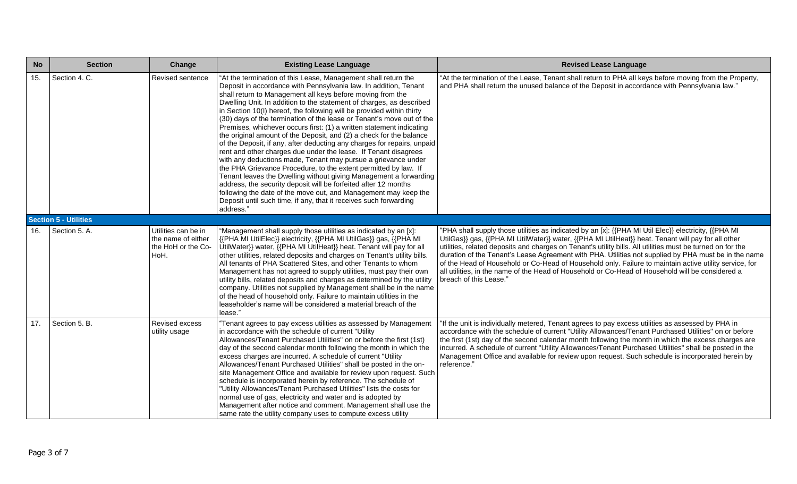| <b>No</b> | <b>Section</b>               | Change                                                                  | <b>Existing Lease Language</b>                                                                                                                                                                                                                                                                                                                                                                                                                                                                                                                                                                                                                                                                                                                                                                                                                                                                                                                                                                                                                                                                                                                           | <b>Revised Lease Language</b>                                                                                                                                                                                                                                                                                                                                                                                                                                                                                                                                                                                                                                            |
|-----------|------------------------------|-------------------------------------------------------------------------|----------------------------------------------------------------------------------------------------------------------------------------------------------------------------------------------------------------------------------------------------------------------------------------------------------------------------------------------------------------------------------------------------------------------------------------------------------------------------------------------------------------------------------------------------------------------------------------------------------------------------------------------------------------------------------------------------------------------------------------------------------------------------------------------------------------------------------------------------------------------------------------------------------------------------------------------------------------------------------------------------------------------------------------------------------------------------------------------------------------------------------------------------------|--------------------------------------------------------------------------------------------------------------------------------------------------------------------------------------------------------------------------------------------------------------------------------------------------------------------------------------------------------------------------------------------------------------------------------------------------------------------------------------------------------------------------------------------------------------------------------------------------------------------------------------------------------------------------|
| 15.       | Section 4. C.                | Revised sentence                                                        | "At the termination of this Lease, Management shall return the<br>Deposit in accordance with Pennsylvania law. In addition, Tenant<br>shall return to Management all keys before moving from the<br>Dwelling Unit. In addition to the statement of charges, as described<br>in Section 10(I) hereof, the following will be provided within thirty<br>(30) days of the termination of the lease or Tenant's move out of the<br>Premises, whichever occurs first: (1) a written statement indicating<br>the original amount of the Deposit, and (2) a check for the balance<br>of the Deposit, if any, after deducting any charges for repairs, unpaid<br>rent and other charges due under the lease. If Tenant disagrees<br>with any deductions made, Tenant may pursue a grievance under<br>the PHA Grievance Procedure, to the extent permitted by law. If<br>Tenant leaves the Dwelling without giving Management a forwarding<br>address, the security deposit will be forfeited after 12 months<br>following the date of the move out, and Management may keep the<br>Deposit until such time, if any, that it receives such forwarding<br>address." | "At the termination of the Lease, Tenant shall return to PHA all keys before moving from the Property,<br>and PHA shall return the unused balance of the Deposit in accordance with Pennsylvania law."                                                                                                                                                                                                                                                                                                                                                                                                                                                                   |
|           | <b>Section 5 - Utilities</b> |                                                                         |                                                                                                                                                                                                                                                                                                                                                                                                                                                                                                                                                                                                                                                                                                                                                                                                                                                                                                                                                                                                                                                                                                                                                          |                                                                                                                                                                                                                                                                                                                                                                                                                                                                                                                                                                                                                                                                          |
| 16.       | Section 5. A.                | Utilities can be in<br>the name of either<br>the HoH or the Co-<br>HoH. | "Management shall supply those utilities as indicated by an [x]:<br>{{PHA MI UtilElec}} electricity, {{PHA MI UtilGas}} gas, {{PHA MI<br>UtilWater}} water, {{PHA MI UtilHeat}} heat. Tenant will pay for all<br>other utilities, related deposits and charges on Tenant's utility bills.<br>All tenants of PHA Scattered Sites, and other Tenants to whom<br>Management has not agreed to supply utilities, must pay their own<br>utility bills, related deposits and charges as determined by the utility<br>company. Utilities not supplied by Management shall be in the name<br>of the head of household only. Failure to maintain utilities in the<br>leaseholder's name will be considered a material breach of the<br>lease."                                                                                                                                                                                                                                                                                                                                                                                                                    | "PHA shall supply those utilities as indicated by an [x]: {{PHA MI Util Elec}} electricity, {{PHA MI<br>UtilGas}} gas, {{PHA MI UtilWater}} water, {{PHA MI UtilHeat}} heat. Tenant will pay for all other<br>utilities, related deposits and charges on Tenant's utility bills. All utilities must be turned on for the<br>duration of the Tenant's Lease Agreement with PHA. Utilities not supplied by PHA must be in the name<br>of the Head of Household or Co-Head of Household only. Failure to maintain active utility service, for<br>all utilities, in the name of the Head of Household or Co-Head of Household will be considered a<br>breach of this Lease." |
| 17.       | Section 5. B.                | Revised excess<br>utility usage                                         | "Tenant agrees to pay excess utilities as assessed by Management<br>in accordance with the schedule of current "Utility<br>Allowances/Tenant Purchased Utilities" on or before the first (1st)<br>day of the second calendar month following the month in which the<br>excess charges are incurred. A schedule of current "Utility<br>Allowances/Tenant Purchased Utilities" shall be posted in the on-<br>site Management Office and available for review upon request. Such<br>schedule is incorporated herein by reference. The schedule of<br>"Utility Allowances/Tenant Purchased Utilities" lists the costs for<br>normal use of gas, electricity and water and is adopted by<br>Management after notice and comment. Management shall use the<br>same rate the utility company uses to compute excess utility                                                                                                                                                                                                                                                                                                                                     | "If the unit is individually metered, Tenant agrees to pay excess utilities as assessed by PHA in<br>accordance with the schedule of current "Utility Allowances/Tenant Purchased Utilities" on or before<br>the first (1st) day of the second calendar month following the month in which the excess charges are<br>incurred. A schedule of current "Utility Allowances/Tenant Purchased Utilities" shall be posted in the<br>Management Office and available for review upon request. Such schedule is incorporated herein by<br>reference."                                                                                                                           |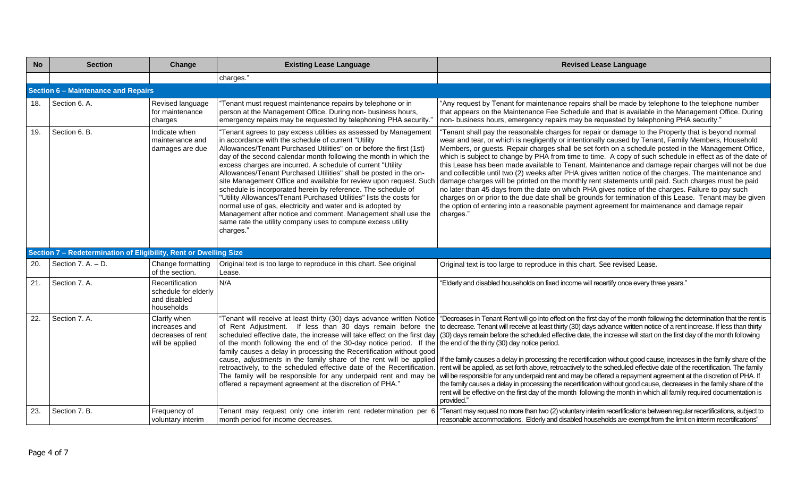| <b>No</b> | <b>Section</b>                                                    | Change                                                                | <b>Existing Lease Language</b>                                                                                                                                                                                                                                                                                                                                                                                                                                                                                                                                                                                                                                                                                                                                                                                                    | <b>Revised Lease Language</b>                                                                                                                                                                                                                                                                                                                                                                                                                                                                                                                                                                                                                                                                                                                                                                                                                                                                                                                                                                                                                                                                                                                                                                                                        |
|-----------|-------------------------------------------------------------------|-----------------------------------------------------------------------|-----------------------------------------------------------------------------------------------------------------------------------------------------------------------------------------------------------------------------------------------------------------------------------------------------------------------------------------------------------------------------------------------------------------------------------------------------------------------------------------------------------------------------------------------------------------------------------------------------------------------------------------------------------------------------------------------------------------------------------------------------------------------------------------------------------------------------------|--------------------------------------------------------------------------------------------------------------------------------------------------------------------------------------------------------------------------------------------------------------------------------------------------------------------------------------------------------------------------------------------------------------------------------------------------------------------------------------------------------------------------------------------------------------------------------------------------------------------------------------------------------------------------------------------------------------------------------------------------------------------------------------------------------------------------------------------------------------------------------------------------------------------------------------------------------------------------------------------------------------------------------------------------------------------------------------------------------------------------------------------------------------------------------------------------------------------------------------|
|           |                                                                   |                                                                       | charges."                                                                                                                                                                                                                                                                                                                                                                                                                                                                                                                                                                                                                                                                                                                                                                                                                         |                                                                                                                                                                                                                                                                                                                                                                                                                                                                                                                                                                                                                                                                                                                                                                                                                                                                                                                                                                                                                                                                                                                                                                                                                                      |
|           | Section 6 - Maintenance and Repairs                               |                                                                       |                                                                                                                                                                                                                                                                                                                                                                                                                                                                                                                                                                                                                                                                                                                                                                                                                                   |                                                                                                                                                                                                                                                                                                                                                                                                                                                                                                                                                                                                                                                                                                                                                                                                                                                                                                                                                                                                                                                                                                                                                                                                                                      |
| 18.       | Section 6. A.                                                     | Revised language<br>for maintenance<br>charges                        | 'Tenant must request maintenance repairs by telephone or in<br>person at the Management Office. During non- business hours,<br>emergency repairs may be requested by telephoning PHA security."                                                                                                                                                                                                                                                                                                                                                                                                                                                                                                                                                                                                                                   | "Any request by Tenant for maintenance repairs shall be made by telephone to the telephone number<br>that appears on the Maintenance Fee Schedule and that is available in the Management Office. During<br>non- business hours, emergency repairs may be requested by telephoning PHA security."                                                                                                                                                                                                                                                                                                                                                                                                                                                                                                                                                                                                                                                                                                                                                                                                                                                                                                                                    |
| 19.       | Section 6. B.                                                     | Indicate when<br>maintenance and<br>damages are due                   | "Tenant agrees to pay excess utilities as assessed by Management<br>in accordance with the schedule of current "Utility<br>Allowances/Tenant Purchased Utilities" on or before the first (1st)<br>day of the second calendar month following the month in which the<br>excess charges are incurred. A schedule of current "Utility<br>Allowances/Tenant Purchased Utilities" shall be posted in the on-<br>site Management Office and available for review upon request. Such<br>schedule is incorporated herein by reference. The schedule of<br>"Utility Allowances/Tenant Purchased Utilities" lists the costs for<br>normal use of gas, electricity and water and is adopted by<br>Management after notice and comment. Management shall use the<br>same rate the utility company uses to compute excess utility<br>charges." | "Tenant shall pay the reasonable charges for repair or damage to the Property that is beyond normal<br>wear and tear, or which is negligently or intentionally caused by Tenant, Family Members, Household<br>Members, or guests. Repair charges shall be set forth on a schedule posted in the Management Office,<br>which is subject to change by PHA from time to time. A copy of such schedule in effect as of the date of<br>this Lease has been made available to Tenant. Maintenance and damage repair charges will not be due<br>and collectible until two (2) weeks after PHA gives written notice of the charges. The maintenance and<br>damage charges will be printed on the monthly rent statements until paid. Such charges must be paid<br>no later than 45 days from the date on which PHA gives notice of the charges. Failure to pay such<br>charges on or prior to the due date shall be grounds for termination of this Lease. Tenant may be given<br>the option of entering into a reasonable payment agreement for maintenance and damage repair<br>charges."                                                                                                                                                  |
|           | Section 7 - Redetermination of Eligibility, Rent or Dwelling Size |                                                                       |                                                                                                                                                                                                                                                                                                                                                                                                                                                                                                                                                                                                                                                                                                                                                                                                                                   |                                                                                                                                                                                                                                                                                                                                                                                                                                                                                                                                                                                                                                                                                                                                                                                                                                                                                                                                                                                                                                                                                                                                                                                                                                      |
| -20.      | Section 7. A. - D.                                                | Change formatting<br>of the section.                                  | Original text is too large to reproduce in this chart. See original<br>Lease.                                                                                                                                                                                                                                                                                                                                                                                                                                                                                                                                                                                                                                                                                                                                                     | Original text is too large to reproduce in this chart. See revised Lease.                                                                                                                                                                                                                                                                                                                                                                                                                                                                                                                                                                                                                                                                                                                                                                                                                                                                                                                                                                                                                                                                                                                                                            |
| 21.       | Section 7. A.                                                     | Recertification<br>schedule for elderly<br>and disabled<br>households | N/A                                                                                                                                                                                                                                                                                                                                                                                                                                                                                                                                                                                                                                                                                                                                                                                                                               | "Elderly and disabled households on fixed income will recertify once every three years."                                                                                                                                                                                                                                                                                                                                                                                                                                                                                                                                                                                                                                                                                                                                                                                                                                                                                                                                                                                                                                                                                                                                             |
| 22.       | Section 7. A.                                                     | Clarify when<br>increases and<br>decreases of rent<br>will be applied | "Tenant will receive at least thirty (30) days advance written Notice<br>of the month following the end of the 30-day notice period. If the the end of the thirty (30) day notice period.<br>family causes a delay in processing the Recertification without good<br>retroactively, to the scheduled effective date of the Recertification.<br>The family will be responsible for any underpaid rent and may be<br>offered a repayment agreement at the discretion of PHA."                                                                                                                                                                                                                                                                                                                                                       | "Decreases in Tenant Rent will go into effect on the first day of the month following the determination that the rent is<br>of Rent Adjustment. If less than 30 days remain before the to decrease. Tenant will receive at least thirty (30) days advance written notice of a rent increase. If less than thirty<br>scheduled effective date, the increase will take effect on the first day (30) days remain before the scheduled effective date, the increase will start on the first day of the month following<br>cause, adjustments in the family share of the rent will be applied   If the family causes a delay in processing the recertification without good cause, increases in the family share of the<br>rent will be applied, as set forth above, retroactively to the scheduled effective date of the recertification. The family<br>will be responsible for any underpaid rent and may be offered a repayment agreement at the discretion of PHA. If<br>the family causes a delay in processing the recertification without good cause, decreases in the family share of the<br>rent will be effective on the first day of the month following the month in which all family required documentation is<br>provided." |
| 23.       | Section 7. B.                                                     | Frequency of<br>voluntary interim                                     | Tenant may request only one interim rent redetermination per 6<br>month period for income decreases.                                                                                                                                                                                                                                                                                                                                                                                                                                                                                                                                                                                                                                                                                                                              | "Tenant may request no more than two (2) voluntary interim recertifications between regular recertifications, subject to<br>reasonable accommodations. Elderly and disabled households are exempt from the limit on interim recertifications"                                                                                                                                                                                                                                                                                                                                                                                                                                                                                                                                                                                                                                                                                                                                                                                                                                                                                                                                                                                        |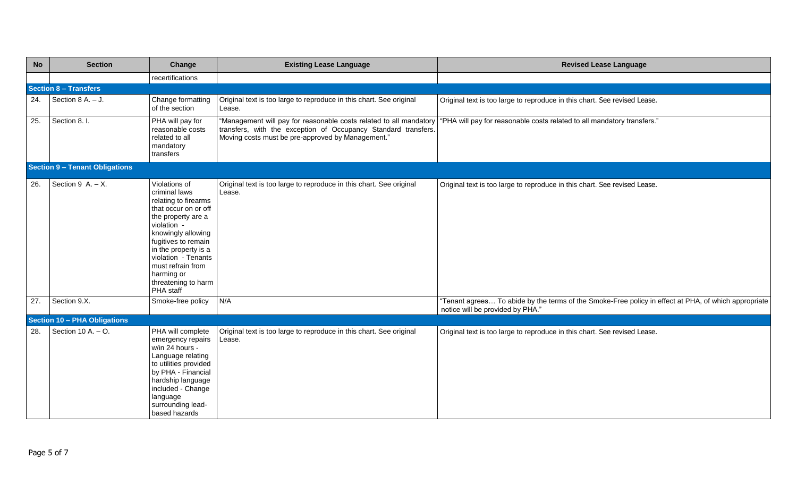| <b>No</b> | <b>Section</b>                        | Change                                                                                                                                                                                                                                                                                 | <b>Existing Lease Language</b>                                                                                                                                                            | <b>Revised Lease Language</b>                                                                                                            |
|-----------|---------------------------------------|----------------------------------------------------------------------------------------------------------------------------------------------------------------------------------------------------------------------------------------------------------------------------------------|-------------------------------------------------------------------------------------------------------------------------------------------------------------------------------------------|------------------------------------------------------------------------------------------------------------------------------------------|
|           |                                       | recertifications                                                                                                                                                                                                                                                                       |                                                                                                                                                                                           |                                                                                                                                          |
|           | <b>Section 8 - Transfers</b>          |                                                                                                                                                                                                                                                                                        |                                                                                                                                                                                           |                                                                                                                                          |
| 24.       | Section $8 A. - J.$                   | Change formatting<br>of the section                                                                                                                                                                                                                                                    | Original text is too large to reproduce in this chart. See original<br>Lease.                                                                                                             | Original text is too large to reproduce in this chart. See revised Lease.                                                                |
| 25.       | Section 8. I.                         | PHA will pay for<br>reasonable costs<br>related to all<br>mandatory<br>transfers                                                                                                                                                                                                       | "Management will pay for reasonable costs related to all mandatory<br>transfers, with the exception of Occupancy Standard transfers.<br>Moving costs must be pre-approved by Management." | "PHA will pay for reasonable costs related to all mandatory transfers."                                                                  |
|           | <b>Section 9 - Tenant Obligations</b> |                                                                                                                                                                                                                                                                                        |                                                                                                                                                                                           |                                                                                                                                          |
| 26.       | Section 9 A. $- X$ .                  | Violations of<br>criminal laws<br>relating to firearms<br>that occur on or off<br>the property are a<br>violation -<br>knowingly allowing<br>fugitives to remain<br>in the property is a<br>violation - Tenants<br>must refrain from<br>harming or<br>threatening to harm<br>PHA staff | Original text is too large to reproduce in this chart. See original<br>Lease.                                                                                                             | Original text is too large to reproduce in this chart. See revised Lease.                                                                |
| 27.       | Section 9.X.                          | Smoke-free policy                                                                                                                                                                                                                                                                      | N/A                                                                                                                                                                                       | "Tenant agrees To abide by the terms of the Smoke-Free policy in effect at PHA, of which appropriate<br>notice will be provided by PHA." |
|           | Section 10 - PHA Obligations          |                                                                                                                                                                                                                                                                                        |                                                                                                                                                                                           |                                                                                                                                          |
| 28.       | Section 10 A. $-$ O.                  | PHA will complete<br>emergency repairs<br>w/in 24 hours -<br>Language relating<br>to utilities provided<br>by PHA - Financial<br>hardship language<br>included - Change<br>language<br>surrounding lead-<br>based hazards                                                              | Original text is too large to reproduce in this chart. See original<br>Lease.                                                                                                             | Original text is too large to reproduce in this chart. See revised Lease.                                                                |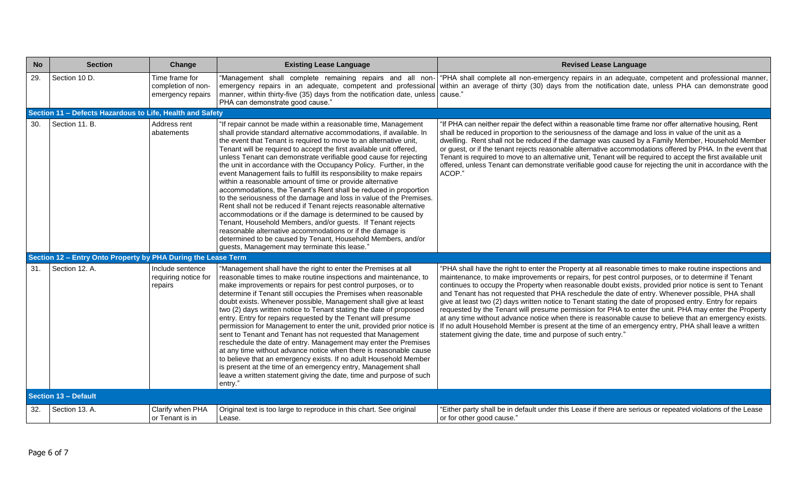| <b>No</b> | <b>Section</b>                                                | Change                                                    | <b>Existing Lease Language</b>                                                                                                                                                                                                                                                                                                                                                                                                                                                                                                                                                                                                                                                                                                                                                                                                                                                                                                                                                                                                                                                                  | <b>Revised Lease Language</b>                                                                                                                                                                                                                                                                                                                                                                                                                                                                                                                                                                                                                                                                                                                                                                                                                                                                                                      |
|-----------|---------------------------------------------------------------|-----------------------------------------------------------|-------------------------------------------------------------------------------------------------------------------------------------------------------------------------------------------------------------------------------------------------------------------------------------------------------------------------------------------------------------------------------------------------------------------------------------------------------------------------------------------------------------------------------------------------------------------------------------------------------------------------------------------------------------------------------------------------------------------------------------------------------------------------------------------------------------------------------------------------------------------------------------------------------------------------------------------------------------------------------------------------------------------------------------------------------------------------------------------------|------------------------------------------------------------------------------------------------------------------------------------------------------------------------------------------------------------------------------------------------------------------------------------------------------------------------------------------------------------------------------------------------------------------------------------------------------------------------------------------------------------------------------------------------------------------------------------------------------------------------------------------------------------------------------------------------------------------------------------------------------------------------------------------------------------------------------------------------------------------------------------------------------------------------------------|
| 29.       | Section 10 D.                                                 | Time frame for<br>completion of non-<br>emergency repairs | "Management shall complete remaining repairs and all non-<br>emergency repairs in an adequate, competent and professional<br>manner, within thirty-five (35) days from the notification date, unless cause."<br>PHA can demonstrate good cause."                                                                                                                                                                                                                                                                                                                                                                                                                                                                                                                                                                                                                                                                                                                                                                                                                                                | "PHA shall complete all non-emergency repairs in an adequate, competent and professional manner,<br>within an average of thirty (30) days from the notification date, unless PHA can demonstrate good                                                                                                                                                                                                                                                                                                                                                                                                                                                                                                                                                                                                                                                                                                                              |
|           | Section 11 - Defects Hazardous to Life, Health and Safety     |                                                           |                                                                                                                                                                                                                                                                                                                                                                                                                                                                                                                                                                                                                                                                                                                                                                                                                                                                                                                                                                                                                                                                                                 |                                                                                                                                                                                                                                                                                                                                                                                                                                                                                                                                                                                                                                                                                                                                                                                                                                                                                                                                    |
| 30.       | Section 11. B.                                                | Address rent<br>abatements                                | "If repair cannot be made within a reasonable time, Management<br>shall provide standard alternative accommodations, if available. In<br>the event that Tenant is required to move to an alternative unit,<br>Tenant will be required to accept the first available unit offered,<br>unless Tenant can demonstrate verifiable good cause for rejecting<br>the unit in accordance with the Occupancy Policy. Further, in the<br>event Management fails to fulfill its responsibility to make repairs<br>within a reasonable amount of time or provide alternative<br>accommodations, the Tenant's Rent shall be reduced in proportion<br>to the seriousness of the damage and loss in value of the Premises.<br>Rent shall not be reduced if Tenant rejects reasonable alternative<br>accommodations or if the damage is determined to be caused by<br>Tenant, Household Members, and/or guests. If Tenant rejects<br>reasonable alternative accommodations or if the damage is<br>determined to be caused by Tenant, Household Members, and/or<br>guests, Management may terminate this lease." | If PHA can neither repair the defect within a reasonable time frame nor offer alternative housing, Rent<br>shall be reduced in proportion to the seriousness of the damage and loss in value of the unit as a<br>dwelling. Rent shall not be reduced if the damage was caused by a Family Member, Household Member<br>or guest, or if the tenant rejects reasonable alternative accommodations offered by PHA. In the event that<br>Tenant is required to move to an alternative unit, Tenant will be required to accept the first available unit<br>offered, unless Tenant can demonstrate verifiable good cause for rejecting the unit in accordance with the<br>ACOP."                                                                                                                                                                                                                                                          |
|           | Section 12 - Entry Onto Property by PHA During the Lease Term |                                                           |                                                                                                                                                                                                                                                                                                                                                                                                                                                                                                                                                                                                                                                                                                                                                                                                                                                                                                                                                                                                                                                                                                 |                                                                                                                                                                                                                                                                                                                                                                                                                                                                                                                                                                                                                                                                                                                                                                                                                                                                                                                                    |
| 31.       | Section 12, A.                                                | Include sentence<br>requiring notice for<br>repairs       | "Management shall have the right to enter the Premises at all<br>reasonable times to make routine inspections and maintenance, to<br>make improvements or repairs for pest control purposes, or to<br>determine if Tenant still occupies the Premises when reasonable<br>doubt exists. Whenever possible, Management shall give at least<br>two (2) days written notice to Tenant stating the date of proposed<br>entry. Entry for repairs requested by the Tenant will presume<br>permission for Management to enter the unit, provided prior notice is<br>sent to Tenant and Tenant has not requested that Management<br>reschedule the date of entry. Management may enter the Premises<br>at any time without advance notice when there is reasonable cause<br>to believe that an emergency exists. If no adult Household Member<br>is present at the time of an emergency entry, Management shall<br>leave a written statement giving the date, time and purpose of such<br>entry."                                                                                                        | "PHA shall have the right to enter the Property at all reasonable times to make routine inspections and<br>maintenance, to make improvements or repairs, for pest control purposes, or to determine if Tenant<br>continues to occupy the Property when reasonable doubt exists, provided prior notice is sent to Tenant<br>and Tenant has not requested that PHA reschedule the date of entry. Whenever possible, PHA shall<br>give at least two (2) days written notice to Tenant stating the date of proposed entry. Entry for repairs<br>requested by the Tenant will presume permission for PHA to enter the unit. PHA may enter the Property<br>at any time without advance notice when there is reasonable cause to believe that an emergency exists.<br>If no adult Household Member is present at the time of an emergency entry, PHA shall leave a written<br>statement giving the date, time and purpose of such entry." |
|           | Section 13 - Default                                          |                                                           |                                                                                                                                                                                                                                                                                                                                                                                                                                                                                                                                                                                                                                                                                                                                                                                                                                                                                                                                                                                                                                                                                                 |                                                                                                                                                                                                                                                                                                                                                                                                                                                                                                                                                                                                                                                                                                                                                                                                                                                                                                                                    |
| 32.       | Section 13, A.                                                | Clarify when PHA<br>or Tenant is in                       | Original text is too large to reproduce in this chart. See original<br>Lease.                                                                                                                                                                                                                                                                                                                                                                                                                                                                                                                                                                                                                                                                                                                                                                                                                                                                                                                                                                                                                   | Either party shall be in default under this Lease if there are serious or repeated violations of the Lease<br>or for other good cause."                                                                                                                                                                                                                                                                                                                                                                                                                                                                                                                                                                                                                                                                                                                                                                                            |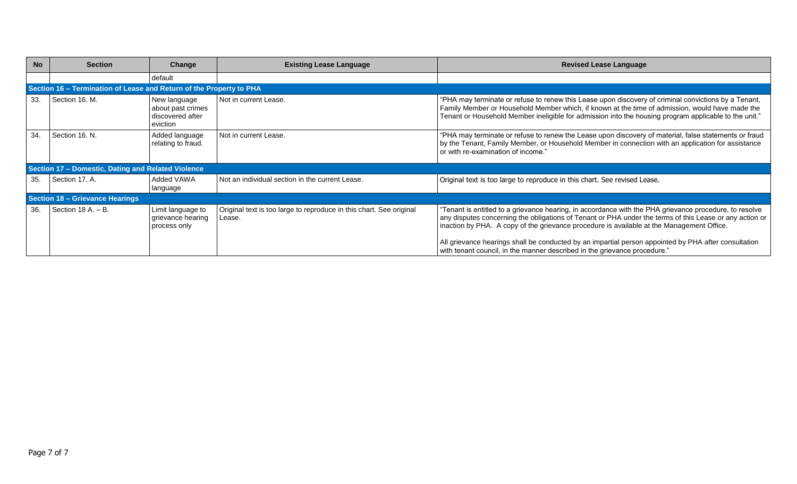| <b>No</b> | <b>Section</b>                                                      | Change                                                            | <b>Existing Lease Language</b>                                                | <b>Revised Lease Language</b>                                                                                                                                                                                                                                                                                                                                                                                                                                                                       |
|-----------|---------------------------------------------------------------------|-------------------------------------------------------------------|-------------------------------------------------------------------------------|-----------------------------------------------------------------------------------------------------------------------------------------------------------------------------------------------------------------------------------------------------------------------------------------------------------------------------------------------------------------------------------------------------------------------------------------------------------------------------------------------------|
|           |                                                                     | default                                                           |                                                                               |                                                                                                                                                                                                                                                                                                                                                                                                                                                                                                     |
|           | Section 16 - Termination of Lease and Return of the Property to PHA |                                                                   |                                                                               |                                                                                                                                                                                                                                                                                                                                                                                                                                                                                                     |
| 33.       | Section 16. M.                                                      | New language<br>about past crimes<br>discovered after<br>eviction | Not in current Lease.                                                         | "PHA may terminate or refuse to renew this Lease upon discovery of criminal convictions by a Tenant,<br>Family Member or Household Member which, if known at the time of admission, would have made the<br>Tenant or Household Member ineligible for admission into the housing program applicable to the unit."                                                                                                                                                                                    |
| 34.       | Section 16. N.                                                      | Added language<br>relating to fraud.                              | Not in current Lease.                                                         | "PHA may terminate or refuse to renew the Lease upon discovery of material, false statements or fraud<br>by the Tenant, Family Member, or Household Member in connection with an application for assistance<br>or with re-examination of income."                                                                                                                                                                                                                                                   |
|           | Section 17 - Domestic, Dating and Related Violence                  |                                                                   |                                                                               |                                                                                                                                                                                                                                                                                                                                                                                                                                                                                                     |
| 35.       | Section 17. A.                                                      | Added VAWA<br>language                                            | Not an individual section in the current Lease.                               | Original text is too large to reproduce in this chart. See revised Lease.                                                                                                                                                                                                                                                                                                                                                                                                                           |
|           | Section 18 - Grievance Hearings                                     |                                                                   |                                                                               |                                                                                                                                                                                                                                                                                                                                                                                                                                                                                                     |
| 36.       | Section 18 A. $-$ B.                                                | Limit language to<br>grievance hearing<br>process only            | Original text is too large to reproduce in this chart. See original<br>Lease. | "Tenant is entitled to a grievance hearing, in accordance with the PHA grievance procedure, to resolve<br>any disputes concerning the obligations of Tenant or PHA under the terms of this Lease or any action or<br>inaction by PHA. A copy of the grievance procedure is available at the Management Office.<br>All grievance hearings shall be conducted by an impartial person appointed by PHA after consultation<br>with tenant council, in the manner described in the grievance procedure." |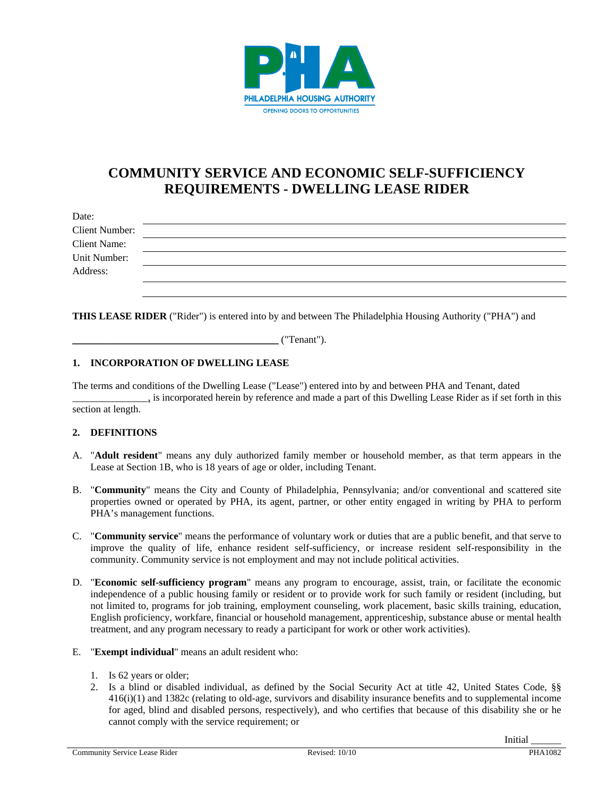

# **COMMUNITY SERVICE AND ECONOMIC SELF-SUFFICIENCY REQUIREMENTS - DWELLING LEASE RIDER**

| Date:                 |  |
|-----------------------|--|
| <b>Client Number:</b> |  |
| <b>Client Name:</b>   |  |
| Unit Number:          |  |
| Address:              |  |
|                       |  |

**THIS LEASE RIDER** ("Rider") is entered into by and between The Philadelphia Housing Authority ("PHA") and

\_\_\_\_\_\_\_\_\_\_\_\_\_\_\_\_\_\_\_\_\_\_\_\_\_\_\_\_\_\_\_\_\_\_\_\_\_\_\_\_\_ ("Tenant").

#### **1. INCORPORATION OF DWELLING LEASE**

The terms and conditions of the Dwelling Lease ("Lease") entered into by and between PHA and Tenant, dated  $\frac{1}{2}$  is incorporated herein by reference and made a part of this Dwelling Lease Rider as if set forth in this section at length.

#### **2. DEFINITIONS**

- A. "**Adult resident**" means any duly authorized family member or household member, as that term appears in the Lease at Section 1B, who is 18 years of age or older, including Tenant.
- B. "**Community**" means the City and County of Philadelphia, Pennsylvania; and/or conventional and scattered site properties owned or operated by PHA, its agent, partner, or other entity engaged in writing by PHA to perform PHA's management functions.
- C. "**Community service**" means the performance of voluntary work or duties that are a public benefit, and that serve to improve the quality of life, enhance resident self-sufficiency, or increase resident self-responsibility in the community. Community service is not employment and may not include political activities.
- D. "**Economic self-sufficiency program**" means any program to encourage, assist, train, or facilitate the economic independence of a public housing family or resident or to provide work for such family or resident (including, but not limited to, programs for job training, employment counseling, work placement, basic skills training, education, English proficiency, workfare, financial or household management, apprenticeship, substance abuse or mental health treatment, and any program necessary to ready a participant for work or other work activities).
- E. "**Exempt individual**" means an adult resident who:
	- 1. Is 62 years or older;
	- 2. Is a blind or disabled individual, as defined by the Social Security Act at title 42, United States Code, §§ 416(i)(1) and 1382c (relating to old-age, survivors and disability insurance benefits and to supplemental income for aged, blind and disabled persons, respectively), and who certifies that because of this disability she or he cannot comply with the service requirement; or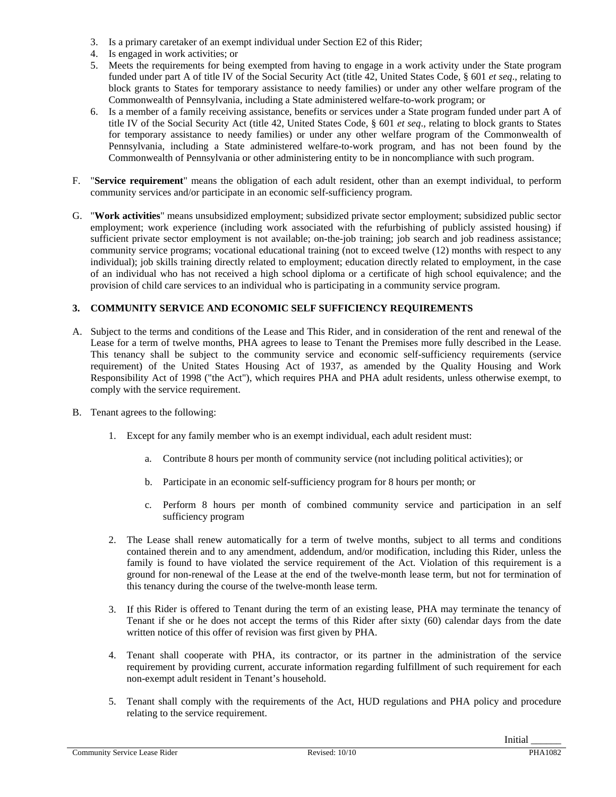- 3. Is a primary caretaker of an exempt individual under Section E2 of this Rider;
- 4. Is engaged in work activities; or
- 5. Meets the requirements for being exempted from having to engage in a work activity under the State program funded under part A of title IV of the Social Security Act (title 42, United States Code, § 601 *et seq*., relating to block grants to States for temporary assistance to needy families) or under any other welfare program of the Commonwealth of Pennsylvania, including a State administered welfare-to-work program; or
- 6. Is a member of a family receiving assistance, benefits or services under a State program funded under part A of title IV of the Social Security Act (title 42, United States Code, § 601 *et seq*., relating to block grants to States for temporary assistance to needy families) or under any other welfare program of the Commonwealth of Pennsylvania, including a State administered welfare-to-work program, and has not been found by the Commonwealth of Pennsylvania or other administering entity to be in noncompliance with such program.
- F. "**Service requirement**" means the obligation of each adult resident, other than an exempt individual, to perform community services and/or participate in an economic self-sufficiency program.
- G. "**Work activities**" means unsubsidized employment; subsidized private sector employment; subsidized public sector employment; work experience (including work associated with the refurbishing of publicly assisted housing) if sufficient private sector employment is not available; on-the-job training; job search and job readiness assistance; community service programs; vocational educational training (not to exceed twelve (12) months with respect to any individual); job skills training directly related to employment; education directly related to employment, in the case of an individual who has not received a high school diploma or a certificate of high school equivalence; and the provision of child care services to an individual who is participating in a community service program.

#### **3. COMMUNITY SERVICE AND ECONOMIC SELF SUFFICIENCY REQUIREMENTS**

- A. Subject to the terms and conditions of the Lease and This Rider, and in consideration of the rent and renewal of the Lease for a term of twelve months, PHA agrees to lease to Tenant the Premises more fully described in the Lease. This tenancy shall be subject to the community service and economic self-sufficiency requirements (service requirement) of the United States Housing Act of 1937, as amended by the Quality Housing and Work Responsibility Act of 1998 ("the Act"), which requires PHA and PHA adult residents, unless otherwise exempt, to comply with the service requirement.
- B. Tenant agrees to the following:
	- 1. Except for any family member who is an exempt individual, each adult resident must:
		- a. Contribute 8 hours per month of community service (not including political activities); or
		- b. Participate in an economic self-sufficiency program for 8 hours per month; or
		- c. Perform 8 hours per month of combined community service and participation in an self sufficiency program
	- 2. The Lease shall renew automatically for a term of twelve months, subject to all terms and conditions contained therein and to any amendment, addendum, and/or modification, including this Rider, unless the family is found to have violated the service requirement of the Act. Violation of this requirement is a ground for non-renewal of the Lease at the end of the twelve-month lease term, but not for termination of this tenancy during the course of the twelve-month lease term.
	- 3. If this Rider is offered to Tenant during the term of an existing lease, PHA may terminate the tenancy of Tenant if she or he does not accept the terms of this Rider after sixty (60) calendar days from the date written notice of this offer of revision was first given by PHA.
	- 4. Tenant shall cooperate with PHA, its contractor, or its partner in the administration of the service requirement by providing current, accurate information regarding fulfillment of such requirement for each non-exempt adult resident in Tenant's household.
	- 5. Tenant shall comply with the requirements of the Act, HUD regulations and PHA policy and procedure relating to the service requirement.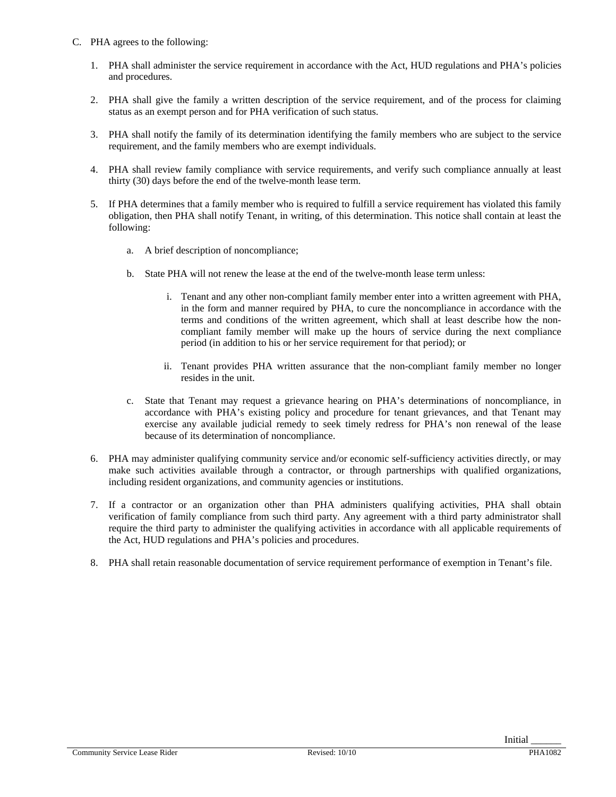- C. PHA agrees to the following:
	- 1. PHA shall administer the service requirement in accordance with the Act, HUD regulations and PHA's policies and procedures.
	- 2. PHA shall give the family a written description of the service requirement, and of the process for claiming status as an exempt person and for PHA verification of such status.
	- 3. PHA shall notify the family of its determination identifying the family members who are subject to the service requirement, and the family members who are exempt individuals.
	- 4. PHA shall review family compliance with service requirements, and verify such compliance annually at least thirty (30) days before the end of the twelve-month lease term.
	- 5. If PHA determines that a family member who is required to fulfill a service requirement has violated this family obligation, then PHA shall notify Tenant, in writing, of this determination. This notice shall contain at least the following:
		- a. A brief description of noncompliance;
		- b. State PHA will not renew the lease at the end of the twelve-month lease term unless:
			- i. Tenant and any other non-compliant family member enter into a written agreement with PHA, in the form and manner required by PHA, to cure the noncompliance in accordance with the terms and conditions of the written agreement, which shall at least describe how the noncompliant family member will make up the hours of service during the next compliance period (in addition to his or her service requirement for that period); or
			- ii. Tenant provides PHA written assurance that the non-compliant family member no longer resides in the unit.
		- c. State that Tenant may request a grievance hearing on PHA's determinations of noncompliance, in accordance with PHA's existing policy and procedure for tenant grievances, and that Tenant may exercise any available judicial remedy to seek timely redress for PHA's non renewal of the lease because of its determination of noncompliance.
	- 6. PHA may administer qualifying community service and/or economic self-sufficiency activities directly, or may make such activities available through a contractor, or through partnerships with qualified organizations, including resident organizations, and community agencies or institutions.
	- 7. If a contractor or an organization other than PHA administers qualifying activities, PHA shall obtain verification of family compliance from such third party. Any agreement with a third party administrator shall require the third party to administer the qualifying activities in accordance with all applicable requirements of the Act, HUD regulations and PHA's policies and procedures.
	- 8. PHA shall retain reasonable documentation of service requirement performance of exemption in Tenant's file.